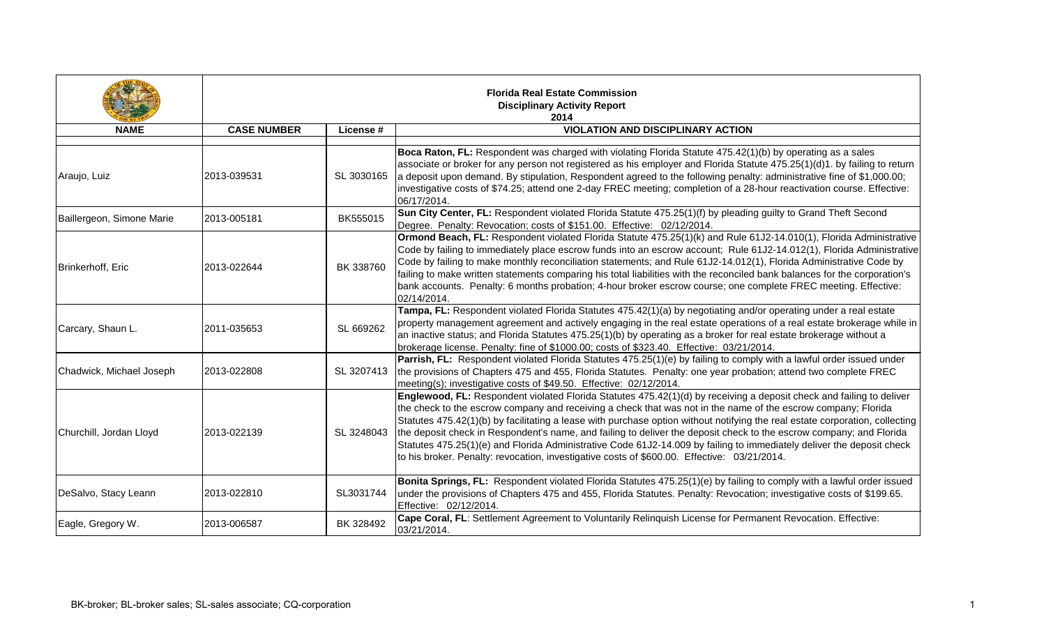|                           |                    |            | <b>Florida Real Estate Commission</b><br><b>Disciplinary Activity Report</b><br>2014                                                                                                                                                                                                                                                                                                                                                                                                                                                                                                                                                                                                                                 |
|---------------------------|--------------------|------------|----------------------------------------------------------------------------------------------------------------------------------------------------------------------------------------------------------------------------------------------------------------------------------------------------------------------------------------------------------------------------------------------------------------------------------------------------------------------------------------------------------------------------------------------------------------------------------------------------------------------------------------------------------------------------------------------------------------------|
| <b>NAME</b>               | <b>CASE NUMBER</b> | License #  | <b>VIOLATION AND DISCIPLINARY ACTION</b>                                                                                                                                                                                                                                                                                                                                                                                                                                                                                                                                                                                                                                                                             |
|                           |                    |            |                                                                                                                                                                                                                                                                                                                                                                                                                                                                                                                                                                                                                                                                                                                      |
| Araujo, Luiz              | 2013-039531        | SL 3030165 | Boca Raton, FL: Respondent was charged with violating Florida Statute 475.42(1)(b) by operating as a sales<br>associate or broker for any person not registered as his employer and Florida Statute 475.25(1)(d)1. by failing to return<br>a deposit upon demand. By stipulation, Respondent agreed to the following penalty: administrative fine of \$1,000.00;<br>investigative costs of \$74.25; attend one 2-day FREC meeting; completion of a 28-hour reactivation course. Effective:<br>06/17/2014.                                                                                                                                                                                                            |
| Baillergeon, Simone Marie | 2013-005181        | BK555015   | Sun City Center, FL: Respondent violated Florida Statute 475.25(1)(f) by pleading guilty to Grand Theft Second<br>Degree. Penalty: Revocation; costs of \$151.00. Effective: 02/12/2014.                                                                                                                                                                                                                                                                                                                                                                                                                                                                                                                             |
| Brinkerhoff, Eric         | 2013-022644        | BK 338760  | Ormond Beach, FL: Respondent violated Florida Statute 475.25(1)(k) and Rule 61J2-14.010(1), Florida Administrative<br>Code by failing to immediately place escrow funds into an escrow account; Rule 61J2-14.012(1), Florida Administrative<br>Code by failing to make monthly reconciliation statements; and Rule 61J2-14.012(1), Florida Administrative Code by<br>failing to make written statements comparing his total liabilities with the reconciled bank balances for the corporation's<br>bank accounts. Penalty: 6 months probation; 4-hour broker escrow course; one complete FREC meeting. Effective:<br>02/14/2014.                                                                                     |
| Carcary, Shaun L.         | 2011-035653        | SL 669262  | Tampa, FL: Respondent violated Florida Statutes 475.42(1)(a) by negotiating and/or operating under a real estate<br>property management agreement and actively engaging in the real estate operations of a real estate brokerage while in<br>an inactive status; and Florida Statutes 475.25(1)(b) by operating as a broker for real estate brokerage without a<br>brokerage license. Penalty: fine of \$1000.00; costs of \$323.40. Effective: 03/21/2014.                                                                                                                                                                                                                                                          |
| Chadwick, Michael Joseph  | 2013-022808        | SL 3207413 | Parrish, FL: Respondent violated Florida Statutes 475.25(1)(e) by failing to comply with a lawful order issued under<br>the provisions of Chapters 475 and 455, Florida Statutes. Penalty: one year probation; attend two complete FREC<br>meeting(s); investigative costs of \$49.50. Effective: 02/12/2014.                                                                                                                                                                                                                                                                                                                                                                                                        |
| Churchill, Jordan Lloyd   | 2013-022139        | SL 3248043 | Englewood, FL: Respondent violated Florida Statutes 475.42(1)(d) by receiving a deposit check and failing to deliver<br>the check to the escrow company and receiving a check that was not in the name of the escrow company; Florida<br>Statutes 475.42(1)(b) by facilitating a lease with purchase option without notifying the real estate corporation, collecting<br>the deposit check in Respondent's name, and failing to deliver the deposit check to the escrow company; and Florida<br>Statutes 475.25(1)(e) and Florida Administrative Code 61J2-14.009 by failing to immediately deliver the deposit check<br>to his broker. Penalty: revocation, investigative costs of \$600.00. Effective: 03/21/2014. |
| DeSalvo, Stacy Leann      | 2013-022810        | SL3031744  | Bonita Springs, FL: Respondent violated Florida Statutes 475.25(1)(e) by failing to comply with a lawful order issued<br>under the provisions of Chapters 475 and 455, Florida Statutes. Penalty: Revocation; investigative costs of \$199.65.<br>Effective: 02/12/2014.                                                                                                                                                                                                                                                                                                                                                                                                                                             |
| Eagle, Gregory W.         | 2013-006587        | BK 328492  | Cape Coral, FL: Settlement Agreement to Voluntarily Relinquish License for Permanent Revocation. Effective:<br>03/21/2014.                                                                                                                                                                                                                                                                                                                                                                                                                                                                                                                                                                                           |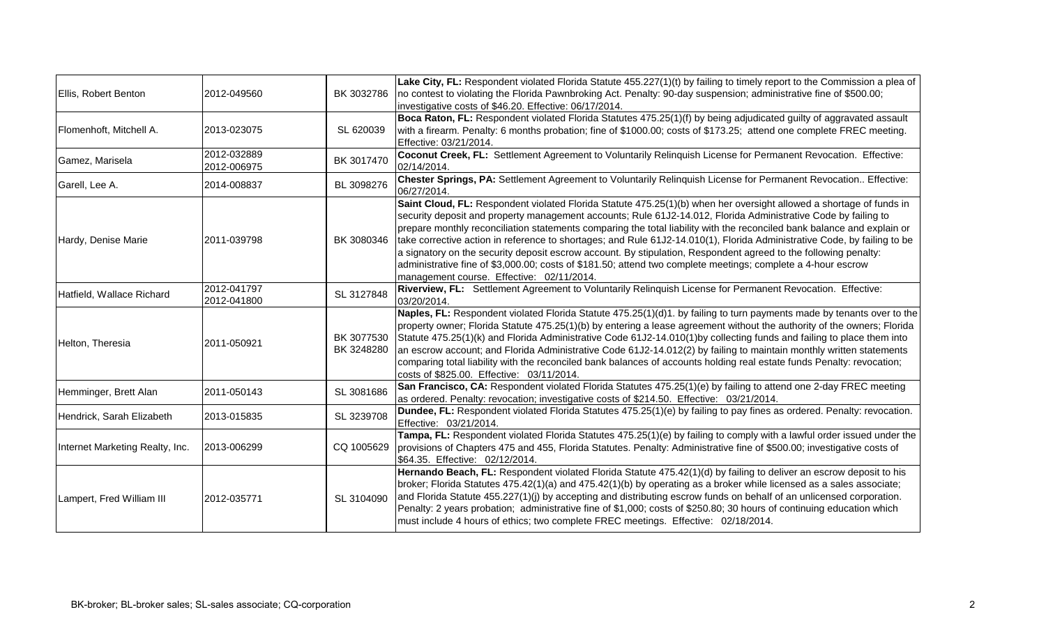| Ellis, Robert Benton            | 2012-049560                | BK 3032786               | Lake City, FL: Respondent violated Florida Statute 455.227(1)(t) by failing to timely report to the Commission a plea of<br>no contest to violating the Florida Pawnbroking Act. Penalty: 90-day suspension; administrative fine of \$500.00;<br>investigative costs of \$46.20. Effective: 06/17/2014.                                                                                                                                                                                                                                                                                                                                                                                                                                                                      |
|---------------------------------|----------------------------|--------------------------|------------------------------------------------------------------------------------------------------------------------------------------------------------------------------------------------------------------------------------------------------------------------------------------------------------------------------------------------------------------------------------------------------------------------------------------------------------------------------------------------------------------------------------------------------------------------------------------------------------------------------------------------------------------------------------------------------------------------------------------------------------------------------|
| Flomenhoft, Mitchell A.         | 2013-023075                | SL 620039                | Boca Raton, FL: Respondent violated Florida Statutes 475.25(1)(f) by being adjudicated guilty of aggravated assault<br>with a firearm. Penalty: 6 months probation; fine of \$1000.00; costs of \$173.25; attend one complete FREC meeting.<br>Effective: 03/21/2014.                                                                                                                                                                                                                                                                                                                                                                                                                                                                                                        |
| Gamez, Marisela                 | 2012-032889<br>2012-006975 | BK 3017470               | Coconut Creek, FL: Settlement Agreement to Voluntarily Relinquish License for Permanent Revocation. Effective:<br>02/14/2014.                                                                                                                                                                                                                                                                                                                                                                                                                                                                                                                                                                                                                                                |
| Garell, Lee A.                  | 2014-008837                | BL 3098276               | Chester Springs, PA: Settlement Agreement to Voluntarily Relinquish License for Permanent Revocation Effective:<br>06/27/2014.                                                                                                                                                                                                                                                                                                                                                                                                                                                                                                                                                                                                                                               |
| Hardy, Denise Marie             | 2011-039798                | BK 3080346               | Saint Cloud, FL: Respondent violated Florida Statute 475.25(1)(b) when her oversight allowed a shortage of funds in<br>security deposit and property management accounts; Rule 61J2-14.012, Florida Administrative Code by failing to<br>prepare monthly reconciliation statements comparing the total liability with the reconciled bank balance and explain or<br>take corrective action in reference to shortages; and Rule 61J2-14.010(1), Florida Administrative Code, by failing to be<br>a signatory on the security deposit escrow account. By stipulation, Respondent agreed to the following penalty:<br>administrative fine of \$3,000.00; costs of \$181.50; attend two complete meetings; complete a 4-hour escrow<br>management course. Effective: 02/11/2014. |
| Hatfield, Wallace Richard       | 2012-041797<br>2012-041800 | SL 3127848               | Riverview, FL: Settlement Agreement to Voluntarily Relinquish License for Permanent Revocation. Effective:<br>03/20/2014.                                                                                                                                                                                                                                                                                                                                                                                                                                                                                                                                                                                                                                                    |
| Helton, Theresia                | 2011-050921                | BK 3077530<br>BK 3248280 | Naples, FL: Respondent violated Florida Statute 475.25(1)(d)1. by failing to turn payments made by tenants over to the<br>property owner; Florida Statute 475.25(1)(b) by entering a lease agreement without the authority of the owners; Florida<br>Statute 475.25(1)(k) and Florida Administrative Code 61J2-14.010(1)by collecting funds and failing to place them into<br>an escrow account; and Florida Administrative Code 61J2-14.012(2) by failing to maintain monthly written statements<br>comparing total liability with the reconciled bank balances of accounts holding real estate funds Penalty: revocation;<br>costs of \$825.00. Effective: 03/11/2014.                                                                                                     |
| Hemminger, Brett Alan           | 2011-050143                | SL 3081686               | San Francisco, CA: Respondent violated Florida Statutes 475.25(1)(e) by failing to attend one 2-day FREC meeting<br>as ordered. Penalty: revocation; investigative costs of \$214.50. Effective: 03/21/2014.                                                                                                                                                                                                                                                                                                                                                                                                                                                                                                                                                                 |
| Hendrick, Sarah Elizabeth       | 2013-015835                | SL 3239708               | Dundee, FL: Respondent violated Florida Statutes 475.25(1)(e) by failing to pay fines as ordered. Penalty: revocation.<br>Effective: 03/21/2014.                                                                                                                                                                                                                                                                                                                                                                                                                                                                                                                                                                                                                             |
| Internet Marketing Realty, Inc. | 2013-006299                | CQ 1005629               | Tampa, FL: Respondent violated Florida Statutes 475.25(1)(e) by failing to comply with a lawful order issued under the<br>provisions of Chapters 475 and 455, Florida Statutes. Penalty: Administrative fine of \$500.00; investigative costs of<br>\$64.35. Effective: 02/12/2014.                                                                                                                                                                                                                                                                                                                                                                                                                                                                                          |
| Lampert, Fred William III       | 2012-035771                | SL 3104090               | Hernando Beach, FL: Respondent violated Florida Statute 475.42(1)(d) by failing to deliver an escrow deposit to his<br>broker; Florida Statutes 475.42(1)(a) and 475.42(1)(b) by operating as a broker while licensed as a sales associate;<br>and Florida Statute 455.227(1)(j) by accepting and distributing escrow funds on behalf of an unlicensed corporation.<br>Penalty: 2 years probation; administrative fine of \$1,000; costs of \$250.80; 30 hours of continuing education which<br>must include 4 hours of ethics; two complete FREC meetings. Effective: 02/18/2014.                                                                                                                                                                                           |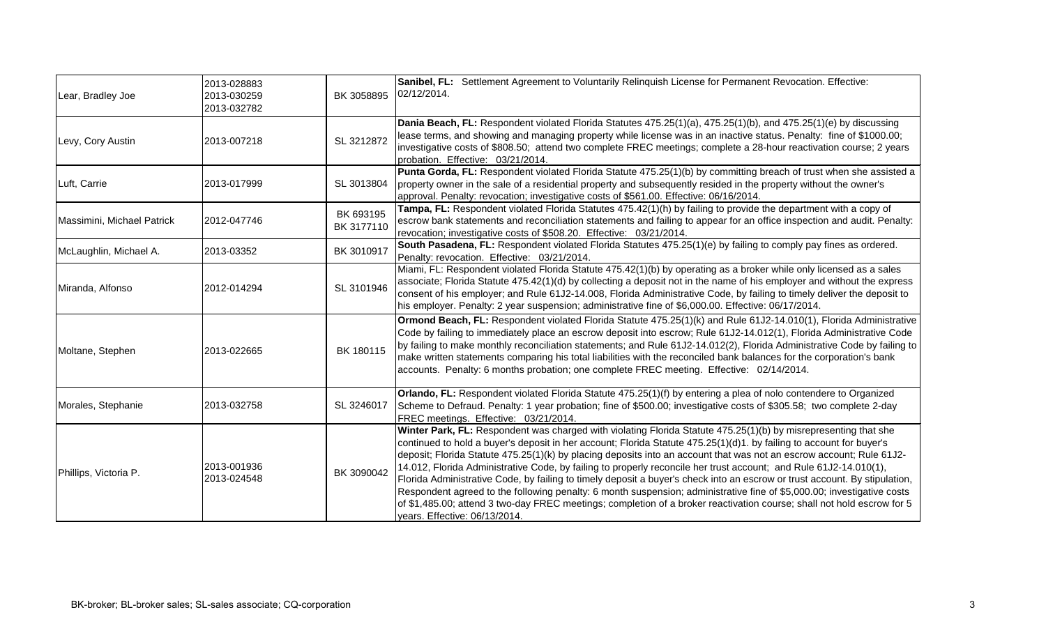| Lear, Bradley Joe          | 2013-028883<br>2013-030259<br>2013-032782 | BK 3058895              | Sanibel, FL: Settlement Agreement to Voluntarily Relinguish License for Permanent Revocation. Effective:<br>02/12/2014.                                                                                                                                                                                                                                                                                                                                                                                                                                                                                                                                                                                                                                                                                                                                                                                 |
|----------------------------|-------------------------------------------|-------------------------|---------------------------------------------------------------------------------------------------------------------------------------------------------------------------------------------------------------------------------------------------------------------------------------------------------------------------------------------------------------------------------------------------------------------------------------------------------------------------------------------------------------------------------------------------------------------------------------------------------------------------------------------------------------------------------------------------------------------------------------------------------------------------------------------------------------------------------------------------------------------------------------------------------|
| Levy, Cory Austin          | 2013-007218                               | SL 3212872              | Dania Beach, FL: Respondent violated Florida Statutes 475.25(1)(a), 475.25(1)(b), and 475.25(1)(e) by discussing<br>lease terms, and showing and managing property while license was in an inactive status. Penalty: fine of \$1000.00;<br>investigative costs of \$808.50; attend two complete FREC meetings; complete a 28-hour reactivation course; 2 years<br>probation. Effective: 03/21/2014.                                                                                                                                                                                                                                                                                                                                                                                                                                                                                                     |
| Luft, Carrie               | 2013-017999                               | SL 3013804              | Punta Gorda, FL: Respondent violated Florida Statute 475.25(1)(b) by committing breach of trust when she assisted a<br>property owner in the sale of a residential property and subsequently resided in the property without the owner's<br>approval. Penalty: revocation; investigative costs of \$561.00. Effective: 06/16/2014.                                                                                                                                                                                                                                                                                                                                                                                                                                                                                                                                                                      |
| Massimini, Michael Patrick | 2012-047746                               | BK 693195<br>BK 3177110 | Tampa, FL: Respondent violated Florida Statutes 475.42(1)(h) by failing to provide the department with a copy of<br>escrow bank statements and reconciliation statements and failing to appear for an office inspection and audit. Penalty:<br>revocation; investigative costs of \$508.20. Effective: 03/21/2014.                                                                                                                                                                                                                                                                                                                                                                                                                                                                                                                                                                                      |
| McLaughlin, Michael A.     | 2013-03352                                | BK 3010917              | South Pasadena, FL: Respondent violated Florida Statutes 475.25(1)(e) by failing to comply pay fines as ordered.<br>Penalty: revocation. Effective: 03/21/2014.                                                                                                                                                                                                                                                                                                                                                                                                                                                                                                                                                                                                                                                                                                                                         |
| Miranda, Alfonso           | 2012-014294                               | SL 3101946              | Miami, FL: Respondent violated Florida Statute 475.42(1)(b) by operating as a broker while only licensed as a sales<br>associate; Florida Statute 475.42(1)(d) by collecting a deposit not in the name of his employer and without the express<br>consent of his employer; and Rule 61J2-14.008, Florida Administrative Code, by failing to timely deliver the deposit to<br>Inis employer. Penalty: 2 year suspension; administrative fine of \$6,000.00. Effective: 06/17/2014.                                                                                                                                                                                                                                                                                                                                                                                                                       |
| Moltane, Stephen           | 2013-022665                               | BK 180115               | Ormond Beach, FL: Respondent violated Florida Statute 475.25(1)(k) and Rule 61J2-14.010(1), Florida Administrative<br>Code by failing to immediately place an escrow deposit into escrow; Rule 61J2-14.012(1), Florida Administrative Code<br>by failing to make monthly reconciliation statements; and Rule 61J2-14.012(2), Florida Administrative Code by failing to<br>make written statements comparing his total liabilities with the reconciled bank balances for the corporation's bank<br>accounts. Penalty: 6 months probation; one complete FREC meeting. Effective: 02/14/2014.                                                                                                                                                                                                                                                                                                              |
| Morales, Stephanie         | 2013-032758                               | SL 3246017              | Orlando, FL: Respondent violated Florida Statute 475.25(1)(f) by entering a plea of nolo contendere to Organized<br>Scheme to Defraud. Penalty: 1 year probation; fine of \$500.00; investigative costs of \$305.58; two complete 2-day<br>FREC meetings. Effective: 03/21/2014.                                                                                                                                                                                                                                                                                                                                                                                                                                                                                                                                                                                                                        |
| Phillips, Victoria P.      | 2013-001936<br>2013-024548                | BK 3090042              | Winter Park, FL: Respondent was charged with violating Florida Statute 475.25(1)(b) by misrepresenting that she<br>continued to hold a buyer's deposit in her account; Florida Statute 475.25(1)(d)1. by failing to account for buyer's<br>deposit; Florida Statute 475.25(1)(k) by placing deposits into an account that was not an escrow account; Rule 61J2-<br>14.012, Florida Administrative Code, by failing to properly reconcile her trust account; and Rule 61J2-14.010(1),<br>Florida Administrative Code, by failing to timely deposit a buyer's check into an escrow or trust account. By stipulation,<br>Respondent agreed to the following penalty: 6 month suspension; administrative fine of \$5,000.00; investigative costs<br>of \$1,485.00; attend 3 two-day FREC meetings; completion of a broker reactivation course; shall not hold escrow for 5<br>years. Effective: 06/13/2014. |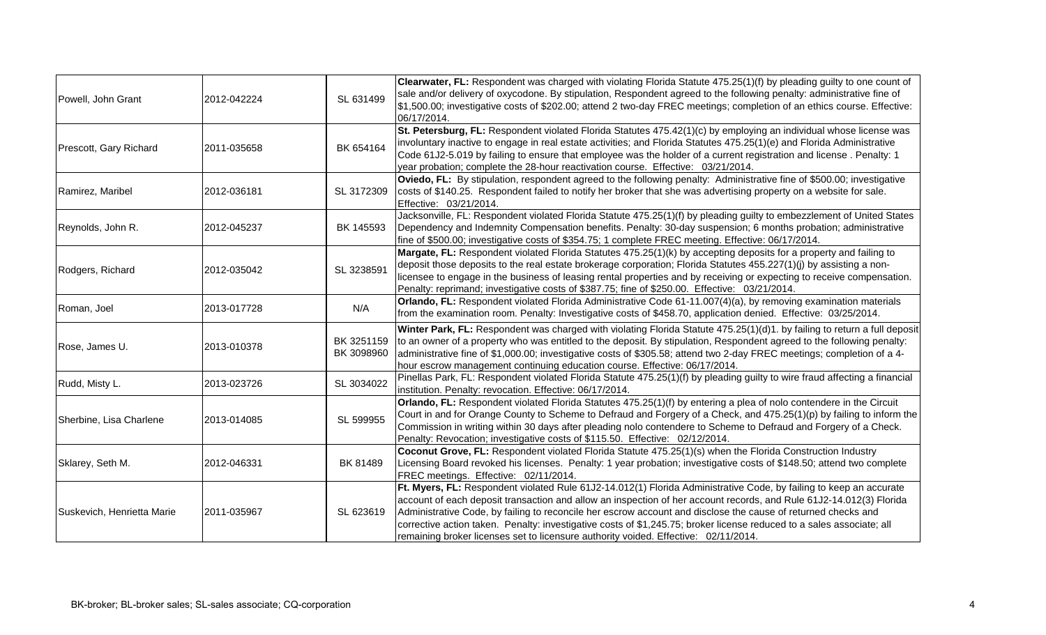| Powell, John Grant         | 2012-042224 | SL 631499                | Clearwater, FL: Respondent was charged with violating Florida Statute 475.25(1)(f) by pleading guilty to one count of<br>sale and/or delivery of oxycodone. By stipulation, Respondent agreed to the following penalty: administrative fine of<br>\$1,500.00; investigative costs of \$202.00; attend 2 two-day FREC meetings; completion of an ethics course. Effective:<br>06/17/2014.                                                                                                                                                                                   |
|----------------------------|-------------|--------------------------|----------------------------------------------------------------------------------------------------------------------------------------------------------------------------------------------------------------------------------------------------------------------------------------------------------------------------------------------------------------------------------------------------------------------------------------------------------------------------------------------------------------------------------------------------------------------------|
| Prescott, Gary Richard     | 2011-035658 | BK 654164                | St. Petersburg, FL: Respondent violated Florida Statutes 475.42(1)(c) by employing an individual whose license was<br>involuntary inactive to engage in real estate activities; and Florida Statutes 475.25(1)(e) and Florida Administrative<br>Code 61J2-5.019 by failing to ensure that employee was the holder of a current registration and license. Penalty: 1<br>year probation; complete the 28-hour reactivation course. Effective: 03/21/2014.                                                                                                                    |
| Ramirez, Maribel           | 2012-036181 | SL 3172309               | Oviedo, FL: By stipulation, respondent agreed to the following penalty: Administrative fine of \$500.00; investigative<br>costs of \$140.25. Respondent failed to notify her broker that she was advertising property on a website for sale.<br>Effective: 03/21/2014.                                                                                                                                                                                                                                                                                                     |
| Reynolds, John R.          | 2012-045237 | BK 145593                | Jacksonville, FL: Respondent violated Florida Statute 475.25(1)(f) by pleading guilty to embezzlement of United States<br>Dependency and Indemnity Compensation benefits. Penalty: 30-day suspension; 6 months probation; administrative<br>fine of \$500.00; investigative costs of \$354.75; 1 complete FREC meeting. Effective: 06/17/2014.                                                                                                                                                                                                                             |
| Rodgers, Richard           | 2012-035042 | SL 3238591               | Margate, FL: Respondent violated Florida Statutes 475.25(1)(k) by accepting deposits for a property and failing to<br>deposit those deposits to the real estate brokerage corporation; Florida Statutes 455.227(1)(j) by assisting a non-<br>licensee to engage in the business of leasing rental properties and by receiving or expecting to receive compensation.<br>Penalty: reprimand; investigative costs of \$387.75; fine of \$250.00. Effective: 03/21/2014.                                                                                                       |
| Roman, Joel                | 2013-017728 | N/A                      | Orlando, FL: Respondent violated Florida Administrative Code 61-11.007(4)(a), by removing examination materials<br>from the examination room. Penalty: Investigative costs of \$458.70, application denied. Effective: 03/25/2014.                                                                                                                                                                                                                                                                                                                                         |
| Rose, James U.             | 2013-010378 | BK 3251159<br>BK 3098960 | Winter Park, FL: Respondent was charged with violating Florida Statute 475.25(1)(d)1. by failing to return a full deposit<br>to an owner of a property who was entitled to the deposit. By stipulation, Respondent agreed to the following penalty:<br>administrative fine of \$1,000.00; investigative costs of \$305.58; attend two 2-day FREC meetings; completion of a 4-<br>hour escrow management continuing education course. Effective: 06/17/2014.                                                                                                                |
| Rudd, Misty L.             | 2013-023726 | SL 3034022               | Pinellas Park, FL: Respondent violated Florida Statute 475.25(1)(f) by pleading guilty to wire fraud affecting a financial<br>institution. Penalty: revocation. Effective: 06/17/2014.                                                                                                                                                                                                                                                                                                                                                                                     |
| Sherbine, Lisa Charlene    | 2013-014085 | SL 599955                | Orlando, FL: Respondent violated Florida Statutes 475.25(1)(f) by entering a plea of nolo contendere in the Circuit<br>Court in and for Orange County to Scheme to Defraud and Forgery of a Check, and 475.25(1)(p) by failing to inform the<br>Commission in writing within 30 days after pleading nolo contendere to Scheme to Defraud and Forgery of a Check.<br>Penalty: Revocation; investigative costs of \$115.50. Effective: 02/12/2014.                                                                                                                           |
| Sklarey, Seth M.           | 2012-046331 | BK 81489                 | Coconut Grove, FL: Respondent violated Florida Statute 475.25(1)(s) when the Florida Construction Industry<br>Licensing Board revoked his licenses. Penalty: 1 year probation; investigative costs of \$148.50; attend two complete<br>FREC meetings. Effective: 02/11/2014.                                                                                                                                                                                                                                                                                               |
| Suskevich, Henrietta Marie | 2011-035967 | SL 623619                | Ft. Myers, FL: Respondent violated Rule 61J2-14.012(1) Florida Administrative Code, by failing to keep an accurate<br>account of each deposit transaction and allow an inspection of her account records, and Rule 61J2-14.012(3) Florida<br>Administrative Code, by failing to reconcile her escrow account and disclose the cause of returned checks and<br>corrective action taken. Penalty: investigative costs of \$1,245.75; broker license reduced to a sales associate; all<br>remaining broker licenses set to licensure authority voided. Effective: 02/11/2014. |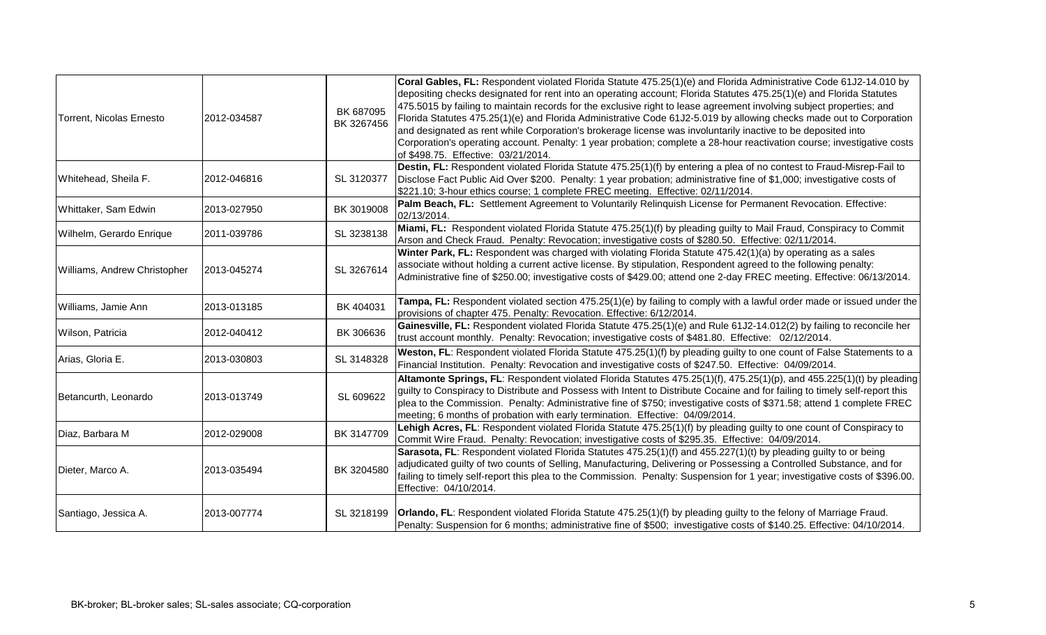| Torrent, Nicolas Ernesto     | 2012-034587 | BK 687095<br>BK 3267456 | Coral Gables, FL: Respondent violated Florida Statute 475.25(1)(e) and Florida Administrative Code 61J2-14.010 by<br>depositing checks designated for rent into an operating account; Florida Statutes 475.25(1)(e) and Florida Statutes<br>475.5015 by failing to maintain records for the exclusive right to lease agreement involving subject properties; and<br>Florida Statutes 475.25(1)(e) and Florida Administrative Code 61J2-5.019 by allowing checks made out to Corporation<br>and designated as rent while Corporation's brokerage license was involuntarily inactive to be deposited into<br>Corporation's operating account. Penalty: 1 year probation; complete a 28-hour reactivation course; investigative costs<br>of \$498.75. Effective: 03/21/2014. |
|------------------------------|-------------|-------------------------|---------------------------------------------------------------------------------------------------------------------------------------------------------------------------------------------------------------------------------------------------------------------------------------------------------------------------------------------------------------------------------------------------------------------------------------------------------------------------------------------------------------------------------------------------------------------------------------------------------------------------------------------------------------------------------------------------------------------------------------------------------------------------|
| Whitehead, Sheila F.         | 2012-046816 | SL 3120377              | Destin, FL: Respondent violated Florida Statute 475.25(1)(f) by entering a plea of no contest to Fraud-Misrep-Fail to<br>Disclose Fact Public Aid Over \$200. Penalty: 1 year probation; administrative fine of \$1,000; investigative costs of<br>\$221.10; 3-hour ethics course; 1 complete FREC meeting. Effective: 02/11/2014.                                                                                                                                                                                                                                                                                                                                                                                                                                        |
| Whittaker, Sam Edwin         | 2013-027950 | BK 3019008              | Palm Beach, FL: Settlement Agreement to Voluntarily Relinquish License for Permanent Revocation. Effective:<br>02/13/2014.                                                                                                                                                                                                                                                                                                                                                                                                                                                                                                                                                                                                                                                |
| Wilhelm, Gerardo Enrique     | 2011-039786 | SL 3238138              | Miami, FL: Respondent violated Florida Statute 475.25(1)(f) by pleading guilty to Mail Fraud, Conspiracy to Commit<br>Arson and Check Fraud. Penalty: Revocation; investigative costs of \$280.50. Effective: 02/11/2014.                                                                                                                                                                                                                                                                                                                                                                                                                                                                                                                                                 |
| Williams, Andrew Christopher | 2013-045274 | SL 3267614              | Winter Park, FL: Respondent was charged with violating Florida Statute 475.42(1)(a) by operating as a sales<br>associate without holding a current active license. By stipulation, Respondent agreed to the following penalty:<br>Administrative fine of \$250.00; investigative costs of \$429.00; attend one 2-day FREC meeting. Effective: 06/13/2014.                                                                                                                                                                                                                                                                                                                                                                                                                 |
| Williams, Jamie Ann          | 2013-013185 | BK 404031               | Tampa, FL: Respondent violated section 475.25(1)(e) by failing to comply with a lawful order made or issued under the<br>provisions of chapter 475. Penalty: Revocation. Effective: 6/12/2014.                                                                                                                                                                                                                                                                                                                                                                                                                                                                                                                                                                            |
| Wilson, Patricia             | 2012-040412 | BK 306636               | Gainesville, FL: Respondent violated Florida Statute 475.25(1)(e) and Rule 61J2-14.012(2) by failing to reconcile her<br>trust account monthly. Penalty: Revocation; investigative costs of \$481.80. Effective: 02/12/2014.                                                                                                                                                                                                                                                                                                                                                                                                                                                                                                                                              |
| Arias, Gloria E.             | 2013-030803 | SL 3148328              | Weston, FL: Respondent violated Florida Statute 475.25(1)(f) by pleading guilty to one count of False Statements to a<br>Financial Institution. Penalty: Revocation and investigative costs of \$247.50. Effective: 04/09/2014.                                                                                                                                                                                                                                                                                                                                                                                                                                                                                                                                           |
| Betancurth, Leonardo         | 2013-013749 | SL 609622               | Altamonte Springs, FL: Respondent violated Florida Statutes 475.25(1)(f), 475.25(1)(p), and 455.225(1)(t) by pleading<br>guilty to Conspiracy to Distribute and Possess with Intent to Distribute Cocaine and for failing to timely self-report this<br>plea to the Commission. Penalty: Administrative fine of \$750; investigative costs of \$371.58; attend 1 complete FREC<br>meeting; 6 months of probation with early termination. Effective: 04/09/2014.                                                                                                                                                                                                                                                                                                           |
| Diaz, Barbara M              | 2012-029008 | BK 3147709              | Lehigh Acres, FL: Respondent violated Florida Statute 475.25(1)(f) by pleading guilty to one count of Conspiracy to<br>Commit Wire Fraud. Penalty: Revocation; investigative costs of \$295.35. Effective: 04/09/2014.                                                                                                                                                                                                                                                                                                                                                                                                                                                                                                                                                    |
| Dieter, Marco A.             | 2013-035494 | BK 3204580              | Sarasota, FL: Respondent violated Florida Statutes 475.25(1)(f) and 455.227(1)(t) by pleading guilty to or being<br>adjudicated guilty of two counts of Selling, Manufacturing, Delivering or Possessing a Controlled Substance, and for<br>failing to timely self-report this plea to the Commission. Penalty: Suspension for 1 year; investigative costs of \$396.00.<br>Effective: 04/10/2014.                                                                                                                                                                                                                                                                                                                                                                         |
| Santiago, Jessica A.         | 2013-007774 | SL 3218199              | <b>Orlando, FL:</b> Respondent violated Florida Statute 475.25(1)(f) by pleading guilty to the felony of Marriage Fraud.<br>Penalty: Suspension for 6 months; administrative fine of \$500; investigative costs of \$140.25. Effective: 04/10/2014.                                                                                                                                                                                                                                                                                                                                                                                                                                                                                                                       |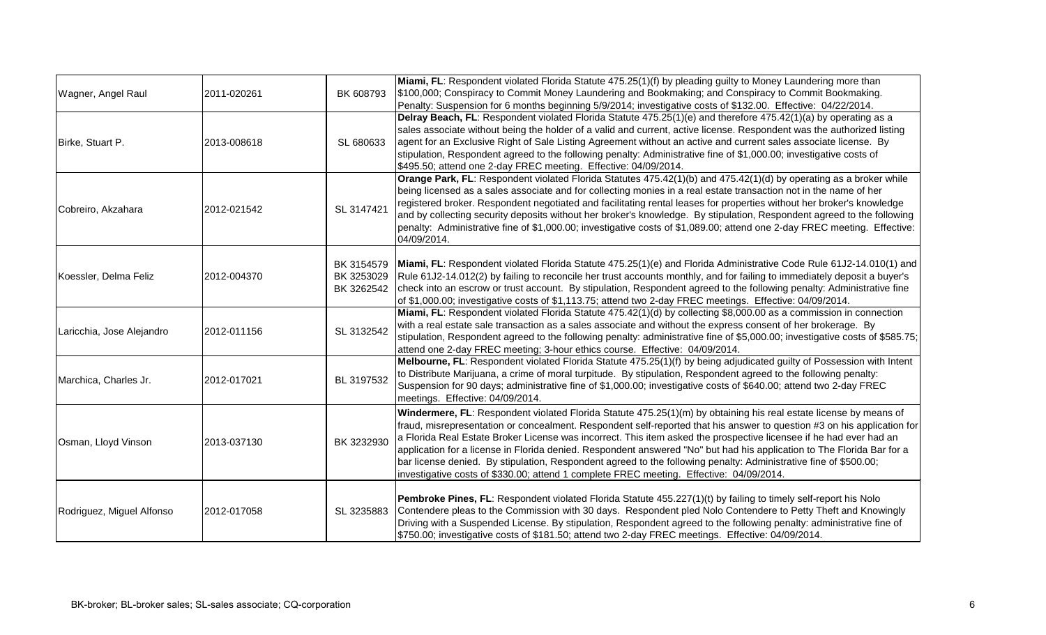| Wagner, Angel Raul        | 2011-020261 | BK 608793                              | Miami, FL: Respondent violated Florida Statute 475.25(1)(f) by pleading guilty to Money Laundering more than<br>\$100,000; Conspiracy to Commit Money Laundering and Bookmaking; and Conspiracy to Commit Bookmaking.                                                                                                                                                                                                                                                                                                                                                                                                                                                                                       |
|---------------------------|-------------|----------------------------------------|-------------------------------------------------------------------------------------------------------------------------------------------------------------------------------------------------------------------------------------------------------------------------------------------------------------------------------------------------------------------------------------------------------------------------------------------------------------------------------------------------------------------------------------------------------------------------------------------------------------------------------------------------------------------------------------------------------------|
| Birke, Stuart P.          | 2013-008618 | SL 680633                              | Penalty: Suspension for 6 months beginning 5/9/2014; investigative costs of \$132.00. Effective: 04/22/2014.<br>Delray Beach, FL: Respondent violated Florida Statute 475.25(1)(e) and therefore 475.42(1)(a) by operating as a<br>sales associate without being the holder of a valid and current, active license. Respondent was the authorized listing<br>agent for an Exclusive Right of Sale Listing Agreement without an active and current sales associate license. By<br>stipulation, Respondent agreed to the following penalty: Administrative fine of \$1,000.00; investigative costs of<br>\$495.50; attend one 2-day FREC meeting. Effective: 04/09/2014.                                      |
| Cobreiro, Akzahara        | 2012-021542 | SL 3147421                             | Orange Park, FL: Respondent violated Florida Statutes 475.42(1)(b) and 475.42(1)(d) by operating as a broker while<br>being licensed as a sales associate and for collecting monies in a real estate transaction not in the name of her<br>registered broker. Respondent negotiated and facilitating rental leases for properties without her broker's knowledge<br>and by collecting security deposits without her broker's knowledge. By stipulation, Respondent agreed to the following<br>penalty: Administrative fine of \$1,000.00; investigative costs of \$1,089.00; attend one 2-day FREC meeting. Effective:<br>04/09/2014.                                                                       |
| Koessler, Delma Feliz     | 2012-004370 | BK 3154579<br>BK 3253029<br>BK 3262542 | Miami, FL: Respondent violated Florida Statute 475.25(1)(e) and Florida Administrative Code Rule 61J2-14.010(1) and<br>Rule 61J2-14.012(2) by failing to reconcile her trust accounts monthly, and for failing to immediately deposit a buyer's<br>check into an escrow or trust account. By stipulation, Respondent agreed to the following penalty: Administrative fine<br>of \$1,000.00; investigative costs of \$1,113.75; attend two 2-day FREC meetings. Effective: 04/09/2014.                                                                                                                                                                                                                       |
| Laricchia, Jose Alejandro | 2012-011156 | SL 3132542                             | Miami, FL: Respondent violated Florida Statute 475.42(1)(d) by collecting \$8,000.00 as a commission in connection<br>with a real estate sale transaction as a sales associate and without the express consent of her brokerage. By<br>stipulation, Respondent agreed to the following penalty: administrative fine of \$5,000.00; investigative costs of \$585.75;<br>attend one 2-day FREC meeting; 3-hour ethics course. Effective: 04/09/2014.                                                                                                                                                                                                                                                          |
| Marchica, Charles Jr.     | 2012-017021 | BL 3197532                             | Melbourne, FL: Respondent violated Florida Statute 475.25(1)(f) by being adjudicated guilty of Possession with Intent<br>to Distribute Marijuana, a crime of moral turpitude. By stipulation, Respondent agreed to the following penalty:<br>Suspension for 90 days; administrative fine of \$1,000.00; investigative costs of \$640.00; attend two 2-day FREC<br>meetings. Effective: 04/09/2014.                                                                                                                                                                                                                                                                                                          |
| Osman, Lloyd Vinson       | 2013-037130 | BK 3232930                             | Windermere, FL: Respondent violated Florida Statute 475.25(1)(m) by obtaining his real estate license by means of<br>fraud, misrepresentation or concealment. Respondent self-reported that his answer to question #3 on his application for<br>a Florida Real Estate Broker License was incorrect. This item asked the prospective licensee if he had ever had an<br>application for a license in Florida denied. Respondent answered "No" but had his application to The Florida Bar for a<br>bar license denied. By stipulation, Respondent agreed to the following penalty: Administrative fine of \$500.00;<br>investigative costs of \$330.00; attend 1 complete FREC meeting. Effective: 04/09/2014. |
| Rodriguez, Miguel Alfonso | 2012-017058 | SL 3235883                             | Pembroke Pines, FL: Respondent violated Florida Statute 455.227(1)(t) by failing to timely self-report his Nolo<br>Contendere pleas to the Commission with 30 days. Respondent pled Nolo Contendere to Petty Theft and Knowingly<br>Driving with a Suspended License. By stipulation, Respondent agreed to the following penalty: administrative fine of<br>\$750.00; investigative costs of \$181.50; attend two 2-day FREC meetings. Effective: 04/09/2014.                                                                                                                                                                                                                                               |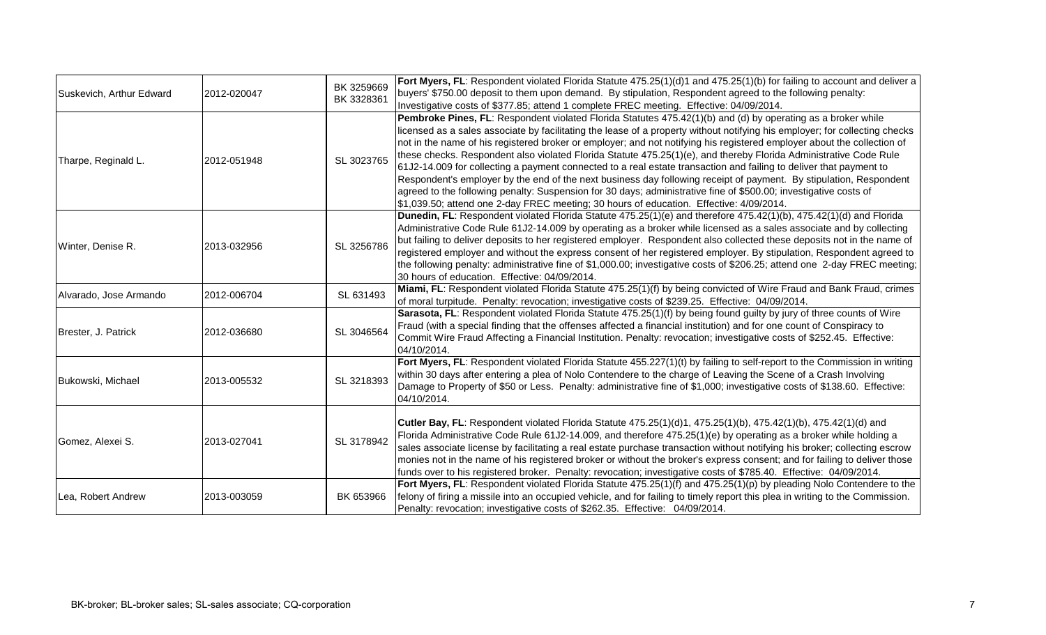| Suskevich, Arthur Edward | 2012-020047 | BK 3259669<br>BK 3328361 | Fort Myers, FL: Respondent violated Florida Statute 475.25(1)(d)1 and 475.25(1)(b) for failing to account and deliver a<br>buyers' \$750.00 deposit to them upon demand. By stipulation, Respondent agreed to the following penalty:<br>Investigative costs of \$377.85; attend 1 complete FREC meeting. Effective: 04/09/2014.                                                                                                                                                                                                                                                                                                                                                                                                                                                                                                                                                                                                                        |
|--------------------------|-------------|--------------------------|--------------------------------------------------------------------------------------------------------------------------------------------------------------------------------------------------------------------------------------------------------------------------------------------------------------------------------------------------------------------------------------------------------------------------------------------------------------------------------------------------------------------------------------------------------------------------------------------------------------------------------------------------------------------------------------------------------------------------------------------------------------------------------------------------------------------------------------------------------------------------------------------------------------------------------------------------------|
| Tharpe, Reginald L.      | 2012-051948 | SL 3023765               | Pembroke Pines, FL: Respondent violated Florida Statutes 475.42(1)(b) and (d) by operating as a broker while<br>licensed as a sales associate by facilitating the lease of a property without notifying his employer; for collecting checks<br>not in the name of his registered broker or employer; and not notifying his registered employer about the collection of<br>these checks. Respondent also violated Florida Statute 475.25(1)(e), and thereby Florida Administrative Code Rule<br>61J2-14.009 for collecting a payment connected to a real estate transaction and failing to deliver that payment to<br>Respondent's employer by the end of the next business day following receipt of payment. By stipulation, Respondent<br>agreed to the following penalty: Suspension for 30 days; administrative fine of \$500.00; investigative costs of<br>\$1,039.50; attend one 2-day FREC meeting; 30 hours of education. Effective: 4/09/2014. |
| Winter, Denise R.        | 2013-032956 | SL 3256786               | Dunedin, FL: Respondent violated Florida Statute 475.25(1)(e) and therefore 475.42(1)(b), 475.42(1)(d) and Florida<br>Administrative Code Rule 61J2-14.009 by operating as a broker while licensed as a sales associate and by collecting<br>but failing to deliver deposits to her registered employer. Respondent also collected these deposits not in the name of<br>registered employer and without the express consent of her registered employer. By stipulation, Respondent agreed to<br>the following penalty: administrative fine of \$1,000.00; investigative costs of \$206.25; attend one 2-day FREC meeting;<br>30 hours of education. Effective: 04/09/2014.                                                                                                                                                                                                                                                                             |
| Alvarado, Jose Armando   | 2012-006704 | SL 631493                | Miami, FL: Respondent violated Florida Statute 475.25(1)(f) by being convicted of Wire Fraud and Bank Fraud, crimes<br>of moral turpitude. Penalty: revocation; investigative costs of \$239.25. Effective: 04/09/2014.                                                                                                                                                                                                                                                                                                                                                                                                                                                                                                                                                                                                                                                                                                                                |
| Brester, J. Patrick      | 2012-036680 | SL 3046564               | Sarasota, FL: Respondent violated Florida Statute 475.25(1)(f) by being found guilty by jury of three counts of Wire<br>Fraud (with a special finding that the offenses affected a financial institution) and for one count of Conspiracy to<br>Commit Wire Fraud Affecting a Financial Institution. Penalty: revocation; investigative costs of \$252.45. Effective:<br>04/10/2014.                                                                                                                                                                                                                                                                                                                                                                                                                                                                                                                                                                   |
| Bukowski, Michael        | 2013-005532 | SL 3218393               | Fort Myers, FL: Respondent violated Florida Statute 455.227(1)(t) by failing to self-report to the Commission in writing<br>within 30 days after entering a plea of Nolo Contendere to the charge of Leaving the Scene of a Crash Involving<br>Damage to Property of \$50 or Less. Penalty: administrative fine of \$1,000; investigative costs of \$138.60. Effective:<br>04/10/2014.                                                                                                                                                                                                                                                                                                                                                                                                                                                                                                                                                                 |
| Gomez, Alexei S.         | 2013-027041 | SL 3178942               | Cutler Bay, FL: Respondent violated Florida Statute 475.25(1)(d)1, 475.25(1)(b), 475.42(1)(b), 475.42(1)(d) and<br>Florida Administrative Code Rule 61J2-14.009, and therefore 475.25(1)(e) by operating as a broker while holding a<br>sales associate license by facilitating a real estate purchase transaction without notifying his broker; collecting escrow<br>monies not in the name of his registered broker or without the broker's express consent; and for failing to deliver those<br>funds over to his registered broker. Penalty: revocation; investigative costs of \$785.40. Effective: 04/09/2014.                                                                                                                                                                                                                                                                                                                                   |
| Lea, Robert Andrew       | 2013-003059 | BK 653966                | Fort Myers, FL: Respondent violated Florida Statute 475.25(1)(f) and 475.25(1)(p) by pleading Nolo Contendere to the<br>felony of firing a missile into an occupied vehicle, and for failing to timely report this plea in writing to the Commission.<br>Penalty: revocation; investigative costs of \$262.35. Effective: 04/09/2014.                                                                                                                                                                                                                                                                                                                                                                                                                                                                                                                                                                                                                  |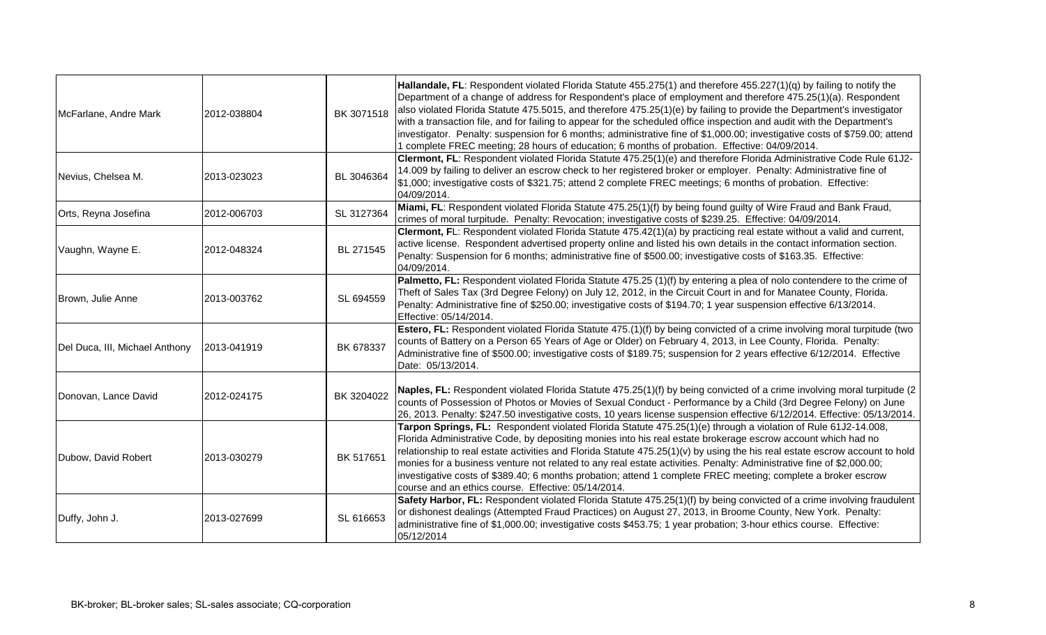| McFarlane, Andre Mark          | 2012-038804 | BK 3071518 | Hallandale, FL: Respondent violated Florida Statute 455.275(1) and therefore 455.227(1)(q) by failing to notify the<br>Department of a change of address for Respondent's place of employment and therefore 475.25(1)(a). Respondent<br>also violated Florida Statute 475.5015, and therefore 475.25(1)(e) by failing to provide the Department's investigator<br>with a transaction file, and for failing to appear for the scheduled office inspection and audit with the Department's<br>investigator. Penalty: suspension for 6 months; administrative fine of \$1,000.00; investigative costs of \$759.00; attend<br>1 complete FREC meeting; 28 hours of education; 6 months of probation. Effective: 04/09/2014. |
|--------------------------------|-------------|------------|-------------------------------------------------------------------------------------------------------------------------------------------------------------------------------------------------------------------------------------------------------------------------------------------------------------------------------------------------------------------------------------------------------------------------------------------------------------------------------------------------------------------------------------------------------------------------------------------------------------------------------------------------------------------------------------------------------------------------|
| Nevius, Chelsea M.             | 2013-023023 | BL 3046364 | Clermont, FL: Respondent violated Florida Statute 475.25(1)(e) and therefore Florida Administrative Code Rule 61J2-<br>14.009 by failing to deliver an escrow check to her registered broker or employer. Penalty: Administrative fine of<br>\$1,000; investigative costs of \$321.75; attend 2 complete FREC meetings; 6 months of probation. Effective:<br>04/09/2014.                                                                                                                                                                                                                                                                                                                                                |
| Orts, Reyna Josefina           | 2012-006703 | SL 3127364 | Miami, FL: Respondent violated Florida Statute 475.25(1)(f) by being found guilty of Wire Fraud and Bank Fraud,<br>crimes of moral turpitude. Penalty: Revocation; investigative costs of \$239.25. Effective: 04/09/2014.                                                                                                                                                                                                                                                                                                                                                                                                                                                                                              |
| Vaughn, Wayne E.               | 2012-048324 | BL 271545  | Clermont, FL: Respondent violated Florida Statute 475.42(1)(a) by practicing real estate without a valid and current,<br>active license. Respondent advertised property online and listed his own details in the contact information section.<br>Penalty: Suspension for 6 months; administrative fine of \$500.00; investigative costs of \$163.35. Effective:<br>04/09/2014.                                                                                                                                                                                                                                                                                                                                          |
| Brown, Julie Anne              | 2013-003762 | SL 694559  | Palmetto, FL: Respondent violated Florida Statute 475.25 (1)(f) by entering a plea of nolo contendere to the crime of<br>Theft of Sales Tax (3rd Degree Felony) on July 12, 2012, in the Circuit Court in and for Manatee County, Florida.<br>Penalty: Administrative fine of \$250.00; investigative costs of \$194.70; 1 year suspension effective 6/13/2014.<br>Effective: 05/14/2014.                                                                                                                                                                                                                                                                                                                               |
| Del Duca, III, Michael Anthony | 2013-041919 | BK 678337  | Estero, FL: Respondent violated Florida Statute 475.(1)(f) by being convicted of a crime involving moral turpitude (two<br>counts of Battery on a Person 65 Years of Age or Older) on February 4, 2013, in Lee County, Florida. Penalty:<br>Administrative fine of \$500.00; investigative costs of \$189.75; suspension for 2 years effective 6/12/2014. Effective<br>Date: 05/13/2014.                                                                                                                                                                                                                                                                                                                                |
| Donovan, Lance David           | 2012-024175 | BK 3204022 | Naples, FL: Respondent violated Florida Statute 475.25(1)(f) by being convicted of a crime involving moral turpitude (2<br>counts of Possession of Photos or Movies of Sexual Conduct - Performance by a Child (3rd Degree Felony) on June<br>26, 2013. Penalty: \$247.50 investigative costs, 10 years license suspension effective 6/12/2014. Effective: 05/13/2014.                                                                                                                                                                                                                                                                                                                                                  |
| Dubow, David Robert            | 2013-030279 | BK 517651  | Tarpon Springs, FL: Respondent violated Florida Statute 475.25(1)(e) through a violation of Rule 61J2-14.008,<br>Florida Administrative Code, by depositing monies into his real estate brokerage escrow account which had no<br>relationship to real estate activities and Florida Statute 475.25(1)(v) by using the his real estate escrow account to hold<br>monies for a business venture not related to any real estate activities. Penalty: Administrative fine of \$2,000.00;<br>investigative costs of \$389.40; 6 months probation; attend 1 complete FREC meeting; complete a broker escrow<br>course and an ethics course. Effective: 05/14/2014.                                                            |
| Duffy, John J.                 | 2013-027699 | SL 616653  | Safety Harbor, FL: Respondent violated Florida Statute 475.25(1)(f) by being convicted of a crime involving fraudulent<br>or dishonest dealings (Attempted Fraud Practices) on August 27, 2013, in Broome County, New York. Penalty:<br>administrative fine of \$1,000.00; investigative costs \$453.75; 1 year probation; 3-hour ethics course. Effective:<br>05/12/2014                                                                                                                                                                                                                                                                                                                                               |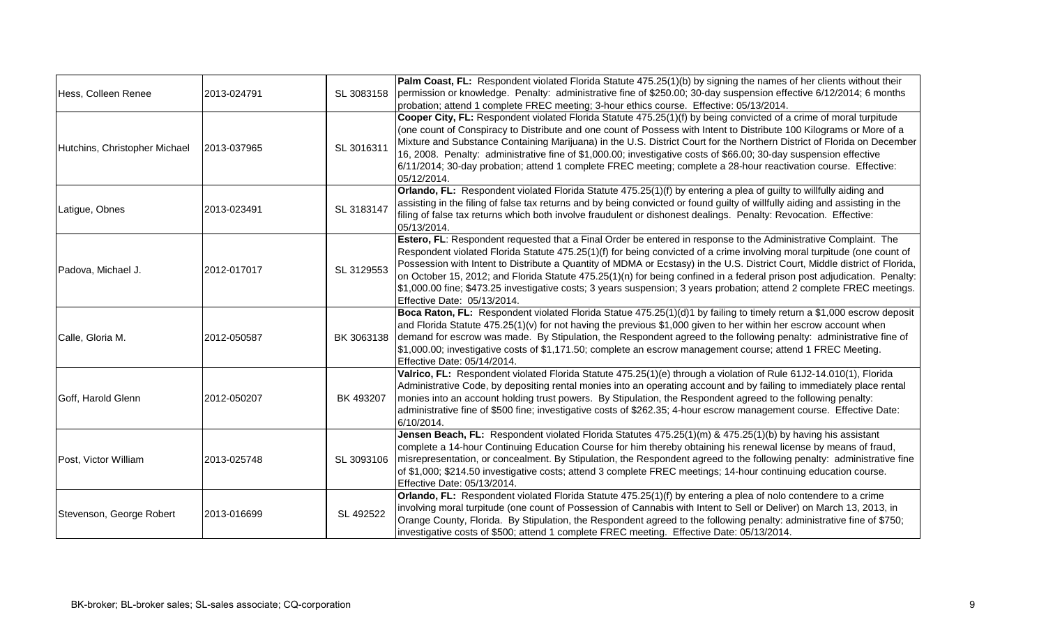| Hess, Colleen Renee           | 2013-024791 | SL 3083158 | Palm Coast, FL: Respondent violated Florida Statute 475.25(1)(b) by signing the names of her clients without their<br>permission or knowledge. Penalty: administrative fine of \$250.00; 30-day suspension effective 6/12/2014; 6 months<br>probation; attend 1 complete FREC meeting; 3-hour ethics course. Effective: 05/13/2014.                                                                                                                                                                                                                                                                                                                             |
|-------------------------------|-------------|------------|-----------------------------------------------------------------------------------------------------------------------------------------------------------------------------------------------------------------------------------------------------------------------------------------------------------------------------------------------------------------------------------------------------------------------------------------------------------------------------------------------------------------------------------------------------------------------------------------------------------------------------------------------------------------|
| Hutchins, Christopher Michael | 2013-037965 | SL 3016311 | Cooper City, FL: Respondent violated Florida Statute 475.25(1)(f) by being convicted of a crime of moral turpitude<br>(one count of Conspiracy to Distribute and one count of Possess with Intent to Distribute 100 Kilograms or More of a<br>Mixture and Substance Containing Marijuana) in the U.S. District Court for the Northern District of Florida on December<br>16, 2008. Penalty: administrative fine of \$1,000.00; investigative costs of \$66.00; 30-day suspension effective<br>6/11/2014; 30-day probation; attend 1 complete FREC meeting; complete a 28-hour reactivation course. Effective:<br>05/12/2014.                                    |
| Latigue, Obnes                | 2013-023491 | SL 3183147 | Orlando, FL: Respondent violated Florida Statute 475.25(1)(f) by entering a plea of guilty to willfully aiding and<br>assisting in the filing of false tax returns and by being convicted or found guilty of willfully aiding and assisting in the<br>filing of false tax returns which both involve fraudulent or dishonest dealings. Penalty: Revocation. Effective:<br>05/13/2014.                                                                                                                                                                                                                                                                           |
| Padova, Michael J.            | 2012-017017 | SL 3129553 | Estero, FL: Respondent requested that a Final Order be entered in response to the Administrative Complaint. The<br>Respondent violated Florida Statute 475.25(1)(f) for being convicted of a crime involving moral turpitude (one count of<br>Possession with Intent to Distribute a Quantity of MDMA or Ecstasy) in the U.S. District Court, Middle district of Florida,<br>on October 15, 2012; and Florida Statute 475.25(1)(n) for being confined in a federal prison post adjudication. Penalty:<br>[\$1,000.00 fine; \$473.25 investigative costs; 3 years suspension; 3 years probation; attend 2 complete FREC meetings.<br>Effective Date: 05/13/2014. |
| Calle, Gloria M.              | 2012-050587 | BK 3063138 | Boca Raton, FL: Respondent violated Florida Statue 475.25(1)(d)1 by failing to timely return a \$1,000 escrow deposit<br>and Florida Statute 475.25(1)(v) for not having the previous \$1,000 given to her within her escrow account when<br>demand for escrow was made. By Stipulation, the Respondent agreed to the following penalty: administrative fine of<br>\$1,000.00; investigative costs of \$1,171.50; complete an escrow management course; attend 1 FREC Meeting.<br>Effective Date: 05/14/2014.                                                                                                                                                   |
| Goff, Harold Glenn            | 2012-050207 | BK 493207  | Valrico, FL: Respondent violated Florida Statute 475.25(1)(e) through a violation of Rule 61J2-14.010(1), Florida<br>Administrative Code, by depositing rental monies into an operating account and by failing to immediately place rental<br>monies into an account holding trust powers. By Stipulation, the Respondent agreed to the following penalty:<br>administrative fine of \$500 fine; investigative costs of \$262.35; 4-hour escrow management course. Effective Date:<br>6/10/2014.                                                                                                                                                                |
| Post, Victor William          | 2013-025748 | SL 3093106 | Jensen Beach, FL: Respondent violated Florida Statutes 475.25(1)(m) & 475.25(1)(b) by having his assistant<br>complete a 14-hour Continuing Education Course for him thereby obtaining his renewal license by means of fraud,<br>misrepresentation, or concealment. By Stipulation, the Respondent agreed to the following penalty: administrative fine<br>of \$1,000; \$214.50 investigative costs; attend 3 complete FREC meetings; 14-hour continuing education course.<br>Effective Date: 05/13/2014.                                                                                                                                                       |
| Stevenson, George Robert      | 2013-016699 | SL 492522  | Orlando, FL: Respondent violated Florida Statute 475.25(1)(f) by entering a plea of nolo contendere to a crime<br>involving moral turpitude (one count of Possession of Cannabis with Intent to Sell or Deliver) on March 13, 2013, in<br>Orange County, Florida. By Stipulation, the Respondent agreed to the following penalty: administrative fine of \$750;<br>investigative costs of \$500; attend 1 complete FREC meeting. Effective Date: 05/13/2014.                                                                                                                                                                                                    |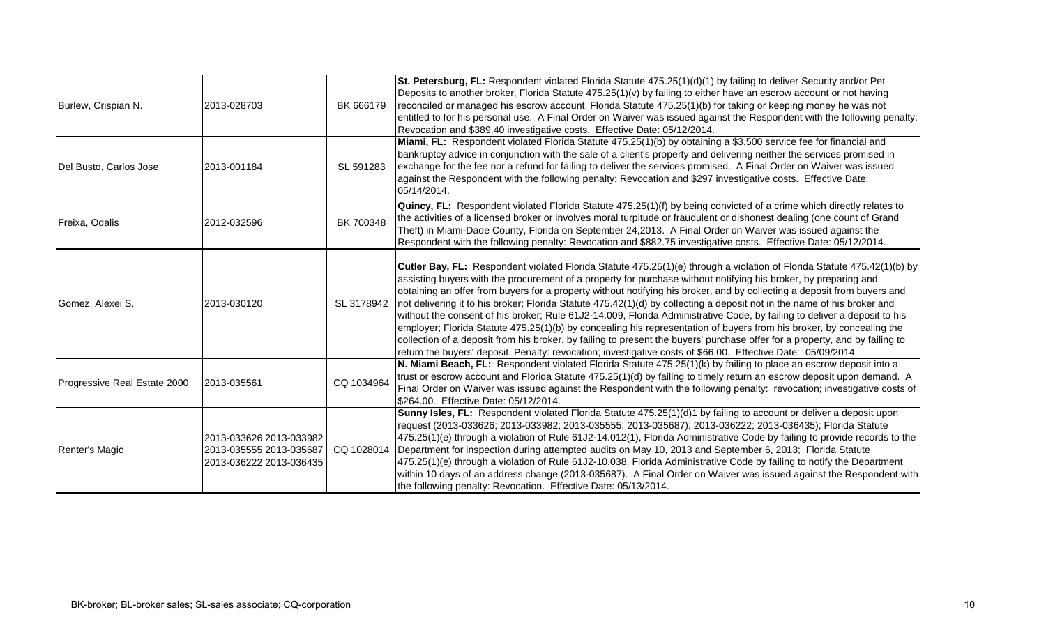| Burlew, Crispian N.          | 2013-028703                                                                   | BK 666179  | St. Petersburg, FL: Respondent violated Florida Statute 475.25(1)(d)(1) by failing to deliver Security and/or Pet<br>Deposits to another broker, Florida Statute 475.25(1)(v) by failing to either have an escrow account or not having<br>reconciled or managed his escrow account, Florida Statute 475.25(1)(b) for taking or keeping money he was not<br>entitled to for his personal use. A Final Order on Waiver was issued against the Respondent with the following penalty:<br>Revocation and \$389.40 investigative costs. Effective Date: 05/12/2014.                                                                                                                                                                                                                                                                                                                                                                                                                                     |
|------------------------------|-------------------------------------------------------------------------------|------------|-----------------------------------------------------------------------------------------------------------------------------------------------------------------------------------------------------------------------------------------------------------------------------------------------------------------------------------------------------------------------------------------------------------------------------------------------------------------------------------------------------------------------------------------------------------------------------------------------------------------------------------------------------------------------------------------------------------------------------------------------------------------------------------------------------------------------------------------------------------------------------------------------------------------------------------------------------------------------------------------------------|
| Del Busto, Carlos Jose       | 2013-001184                                                                   | SL 591283  | Miami, FL: Respondent violated Florida Statute 475.25(1)(b) by obtaining a \$3,500 service fee for financial and<br>bankruptcy advice in conjunction with the sale of a client's property and delivering neither the services promised in<br>exchange for the fee nor a refund for failing to deliver the services promised. A Final Order on Waiver was issued<br>against the Respondent with the following penalty: Revocation and \$297 investigative costs. Effective Date:<br>05/14/2014.                                                                                                                                                                                                                                                                                                                                                                                                                                                                                                      |
| Freixa, Odalis               | 2012-032596                                                                   | BK 700348  | Quincy, FL: Respondent violated Florida Statute 475.25(1)(f) by being convicted of a crime which directly relates to<br>the activities of a licensed broker or involves moral turpitude or fraudulent or dishonest dealing (one count of Grand<br>Theft) in Miami-Dade County, Florida on September 24,2013. A Final Order on Waiver was issued against the<br>Respondent with the following penalty: Revocation and \$882.75 investigative costs. Effective Date: 05/12/2014.                                                                                                                                                                                                                                                                                                                                                                                                                                                                                                                      |
| Gomez, Alexei S.             | 2013-030120                                                                   | SL 3178942 | Cutler Bay, FL: Respondent violated Florida Statute 475.25(1)(e) through a violation of Florida Statute 475.42(1)(b) by<br>assisting buyers with the procurement of a property for purchase without notifying his broker, by preparing and<br>obtaining an offer from buyers for a property without notifying his broker, and by collecting a deposit from buyers and<br>not delivering it to his broker; Florida Statute 475.42(1)(d) by collecting a deposit not in the name of his broker and<br>without the consent of his broker; Rule 61J2-14.009, Florida Administrative Code, by failing to deliver a deposit to his<br>employer; Florida Statute 475.25(1)(b) by concealing his representation of buyers from his broker, by concealing the<br>collection of a deposit from his broker, by failing to present the buyers' purchase offer for a property, and by failing to<br>return the buyers' deposit. Penalty: revocation; investigative costs of \$66.00. Effective Date: 05/09/2014. |
| Progressive Real Estate 2000 | 2013-035561                                                                   | CQ 1034964 | N. Miami Beach, FL: Respondent violated Florida Statute 475.25(1)(k) by failing to place an escrow deposit into a<br>trust or escrow account and Florida Statute 475.25(1)(d) by failing to timely return an escrow deposit upon demand. A<br>Final Order on Waiver was issued against the Respondent with the following penalty: revocation; investigative costs of<br>\$264.00. Effective Date: 05/12/2014.                                                                                                                                                                                                                                                                                                                                                                                                                                                                                                                                                                                       |
| Renter's Magic               | 2013-033626 2013-033982<br>2013-035555 2013-035687<br>2013-036222 2013-036435 | CQ 1028014 | Sunny Isles, FL: Respondent violated Florida Statute 475.25(1)(d)1 by failing to account or deliver a deposit upon<br>request (2013-033626; 2013-033982; 2013-035555; 2013-035687); 2013-036222; 2013-036435); Florida Statute<br>475.25(1)(e) through a violation of Rule 61J2-14.012(1), Florida Administrative Code by failing to provide records to the<br>Department for inspection during attempted audits on May 10, 2013 and September 6, 2013; Florida Statute<br>475.25(1)(e) through a violation of Rule 61J2-10.038, Florida Administrative Code by failing to notify the Department<br>within 10 days of an address change (2013-035687). A Final Order on Waiver was issued against the Respondent with<br>the following penalty: Revocation. Effective Date: 05/13/2014.                                                                                                                                                                                                             |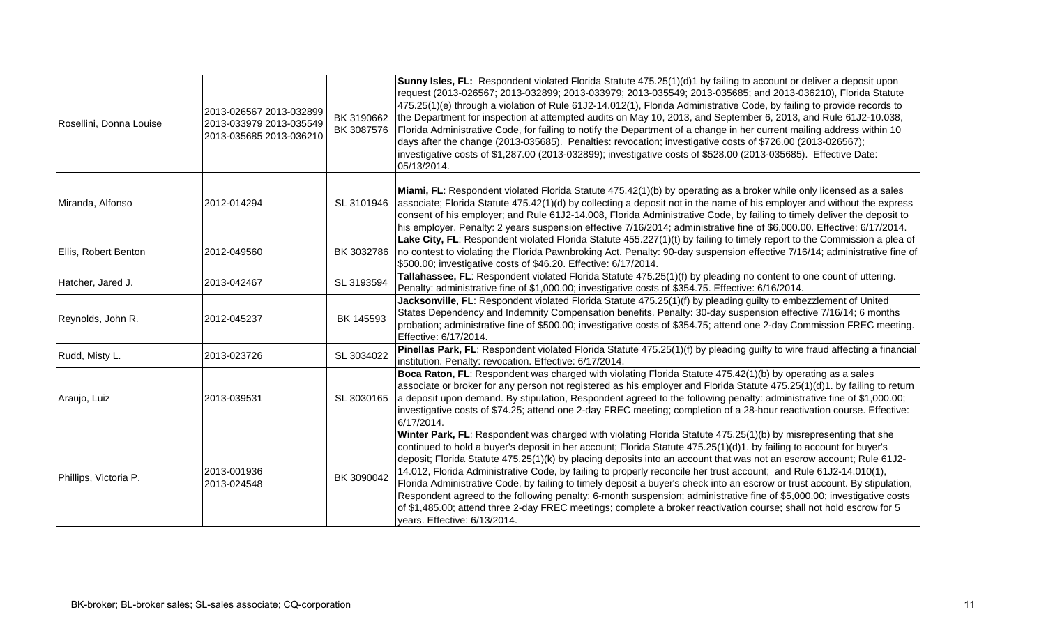| Rosellini, Donna Louise | 2013-026567 2013-032899<br>2013-033979 2013-035549<br>2013-035685 2013-036210 | BK 3190662<br>BK 3087576 | Sunny Isles, FL: Respondent violated Florida Statute 475.25(1)(d)1 by failing to account or deliver a deposit upon<br>request (2013-026567; 2013-032899; 2013-033979; 2013-035549; 2013-035685; and 2013-036210), Florida Statute<br>475.25(1)(e) through a violation of Rule 61J2-14.012(1), Florida Administrative Code, by failing to provide records to<br>the Department for inspection at attempted audits on May 10, 2013, and September 6, 2013, and Rule 61J2-10.038,<br>Florida Administrative Code, for failing to notify the Department of a change in her current mailing address within 10<br>days after the change (2013-035685). Penalties: revocation; investigative costs of \$726.00 (2013-026567);<br>investigative costs of \$1,287.00 (2013-032899); investigative costs of \$528.00 (2013-035685). Effective Date:<br>05/13/2014.                                            |
|-------------------------|-------------------------------------------------------------------------------|--------------------------|-----------------------------------------------------------------------------------------------------------------------------------------------------------------------------------------------------------------------------------------------------------------------------------------------------------------------------------------------------------------------------------------------------------------------------------------------------------------------------------------------------------------------------------------------------------------------------------------------------------------------------------------------------------------------------------------------------------------------------------------------------------------------------------------------------------------------------------------------------------------------------------------------------|
| Miranda, Alfonso        | 2012-014294                                                                   | SL 3101946               | Miami, FL: Respondent violated Florida Statute 475.42(1)(b) by operating as a broker while only licensed as a sales<br>associate; Florida Statute 475.42(1)(d) by collecting a deposit not in the name of his employer and without the express<br>consent of his employer; and Rule 61J2-14.008, Florida Administrative Code, by failing to timely deliver the deposit to<br>his employer. Penalty: 2 years suspension effective 7/16/2014; administrative fine of \$6,000.00. Effective: 6/17/2014.                                                                                                                                                                                                                                                                                                                                                                                                |
| Ellis, Robert Benton    | 2012-049560                                                                   | BK 3032786               | Lake City, FL: Respondent violated Florida Statute 455.227(1)(t) by failing to timely report to the Commission a plea of<br>no contest to violating the Florida Pawnbroking Act. Penalty: 90-day suspension effective 7/16/14; administrative fine of<br>\$500.00; investigative costs of \$46.20. Effective: 6/17/2014.                                                                                                                                                                                                                                                                                                                                                                                                                                                                                                                                                                            |
| Hatcher, Jared J.       | 2013-042467                                                                   | SL 3193594               | Tallahassee, FL: Respondent violated Florida Statute 475.25(1)(f) by pleading no content to one count of uttering.<br>Penalty: administrative fine of \$1,000.00; investigative costs of \$354.75. Effective: 6/16/2014.                                                                                                                                                                                                                                                                                                                                                                                                                                                                                                                                                                                                                                                                            |
| Reynolds, John R.       | 2012-045237                                                                   | BK 145593                | Jacksonville, FL: Respondent violated Florida Statute 475.25(1)(f) by pleading guilty to embezzlement of United<br>States Dependency and Indemnity Compensation benefits. Penalty: 30-day suspension effective 7/16/14; 6 months<br>probation; administrative fine of \$500.00; investigative costs of \$354.75; attend one 2-day Commission FREC meeting.<br>Effective: 6/17/2014.                                                                                                                                                                                                                                                                                                                                                                                                                                                                                                                 |
| Rudd, Misty L.          | 2013-023726                                                                   | SL 3034022               | Pinellas Park, FL: Respondent violated Florida Statute 475.25(1)(f) by pleading guilty to wire fraud affecting a financial<br>institution. Penalty: revocation. Effective: 6/17/2014.                                                                                                                                                                                                                                                                                                                                                                                                                                                                                                                                                                                                                                                                                                               |
| Araujo, Luiz            | 2013-039531                                                                   | SL 3030165               | Boca Raton, FL: Respondent was charged with violating Florida Statute 475.42(1)(b) by operating as a sales<br>associate or broker for any person not registered as his employer and Florida Statute 475.25(1)(d)1. by failing to return<br>a deposit upon demand. By stipulation, Respondent agreed to the following penalty: administrative fine of \$1,000.00;<br>investigative costs of \$74.25; attend one 2-day FREC meeting; completion of a 28-hour reactivation course. Effective:<br>6/17/2014.                                                                                                                                                                                                                                                                                                                                                                                            |
| Phillips, Victoria P.   | 2013-001936<br>2013-024548                                                    | BK 3090042               | Winter Park, FL: Respondent was charged with violating Florida Statute 475.25(1)(b) by misrepresenting that she<br>continued to hold a buyer's deposit in her account; Florida Statute 475.25(1)(d)1. by failing to account for buyer's<br>deposit; Florida Statute 475.25(1)(k) by placing deposits into an account that was not an escrow account; Rule 61J2-<br>14.012, Florida Administrative Code, by failing to properly reconcile her trust account; and Rule 61J2-14.010(1),<br>Florida Administrative Code, by failing to timely deposit a buyer's check into an escrow or trust account. By stipulation,<br>Respondent agreed to the following penalty: 6-month suspension; administrative fine of \$5,000.00; investigative costs<br>of \$1,485.00; attend three 2-day FREC meetings; complete a broker reactivation course; shall not hold escrow for 5<br>years. Effective: 6/13/2014. |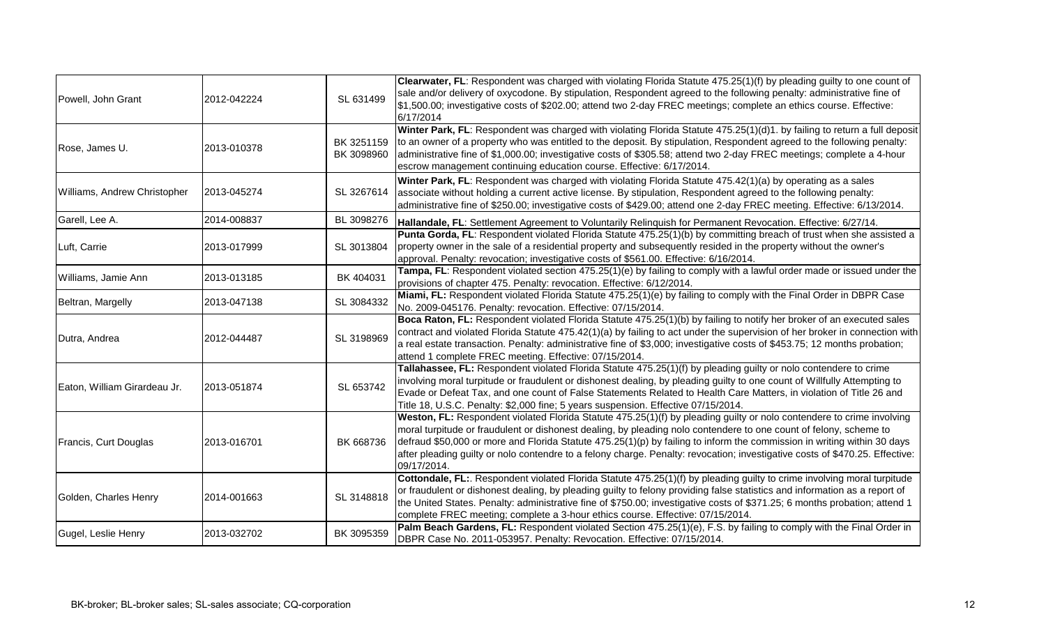|                              |             |                          | Clearwater, FL: Respondent was charged with violating Florida Statute 475.25(1)(f) by pleading guilty to one count of                                                                                                                                                                                                                                                                                                                                                                                                |
|------------------------------|-------------|--------------------------|----------------------------------------------------------------------------------------------------------------------------------------------------------------------------------------------------------------------------------------------------------------------------------------------------------------------------------------------------------------------------------------------------------------------------------------------------------------------------------------------------------------------|
| Powell, John Grant           | 2012-042224 | SL 631499                | sale and/or delivery of oxycodone. By stipulation, Respondent agreed to the following penalty: administrative fine of<br>\$1,500.00; investigative costs of \$202.00; attend two 2-day FREC meetings; complete an ethics course. Effective:<br>6/17/2014                                                                                                                                                                                                                                                             |
| Rose, James U.               | 2013-010378 | BK 3251159<br>BK 3098960 | Winter Park, FL: Respondent was charged with violating Florida Statute 475.25(1)(d)1. by failing to return a full deposit<br>to an owner of a property who was entitled to the deposit. By stipulation, Respondent agreed to the following penalty:<br>administrative fine of \$1,000.00; investigative costs of \$305.58; attend two 2-day FREC meetings; complete a 4-hour<br>escrow management continuing education course. Effective: 6/17/2014.                                                                 |
| Williams, Andrew Christopher | 2013-045274 | SL 3267614               | Winter Park, FL: Respondent was charged with violating Florida Statute 475.42(1)(a) by operating as a sales<br>associate without holding a current active license. By stipulation, Respondent agreed to the following penalty:<br>administrative fine of \$250.00; investigative costs of \$429.00; attend one 2-day FREC meeting. Effective: 6/13/2014.                                                                                                                                                             |
| Garell, Lee A.               | 2014-008837 | BL 3098276               | Hallandale, FL: Settlement Agreement to Voluntarily Relinquish for Permanent Revocation. Effective: 6/27/14.                                                                                                                                                                                                                                                                                                                                                                                                         |
| Luft, Carrie                 | 2013-017999 | SL 3013804               | Punta Gorda, FL: Respondent violated Florida Statute 475.25(1)(b) by committing breach of trust when she assisted a<br>property owner in the sale of a residential property and subsequently resided in the property without the owner's<br>approval. Penalty: revocation; investigative costs of \$561.00. Effective: 6/16/2014.                                                                                                                                                                                    |
| Williams, Jamie Ann          | 2013-013185 | BK 404031                | Tampa, FL: Respondent violated section 475.25(1)(e) by failing to comply with a lawful order made or issued under the<br>provisions of chapter 475. Penalty: revocation. Effective: 6/12/2014.                                                                                                                                                                                                                                                                                                                       |
| Beltran, Margelly            | 2013-047138 | SL 3084332               | Miami, FL: Respondent violated Florida Statute 475.25(1)(e) by failing to comply with the Final Order in DBPR Case<br>No. 2009-045176. Penalty: revocation. Effective: 07/15/2014.                                                                                                                                                                                                                                                                                                                                   |
| Dutra, Andrea                | 2012-044487 | SL 3198969               | Boca Raton, FL: Respondent violated Florida Statute 475.25(1)(b) by failing to notify her broker of an executed sales<br>contract and violated Florida Statute 475.42(1)(a) by failing to act under the supervision of her broker in connection with<br>a real estate transaction. Penalty: administrative fine of \$3,000; investigative costs of \$453.75; 12 months probation;<br>attend 1 complete FREC meeting. Effective: 07/15/2014.                                                                          |
| Eaton, William Girardeau Jr. | 2013-051874 | SL 653742                | Tallahassee, FL: Respondent violated Florida Statute 475.25(1)(f) by pleading guilty or nolo contendere to crime<br>involving moral turpitude or fraudulent or dishonest dealing, by pleading guilty to one count of Willfully Attempting to<br>Evade or Defeat Tax, and one count of False Statements Related to Health Care Matters, in violation of Title 26 and<br>Title 18, U.S.C. Penalty: \$2,000 fine; 5 years suspension. Effective 07/15/2014.                                                             |
| Francis, Curt Douglas        | 2013-016701 | BK 668736                | Weston, FL: Respondent violated Florida Statute 475.25(1)(f) by pleading guilty or nolo contendere to crime involving<br>moral turpitude or fraudulent or dishonest dealing, by pleading nolo contendere to one count of felony, scheme to<br>defraud \$50,000 or more and Florida Statute 475.25(1)(p) by failing to inform the commission in writing within 30 days<br>after pleading guilty or nolo contendre to a felony charge. Penalty: revocation; investigative costs of \$470.25. Effective:<br>09/17/2014. |
| Golden, Charles Henry        | 2014-001663 | SL 3148818               | Cottondale, FL:. Respondent violated Florida Statute 475.25(1)(f) by pleading guilty to crime involving moral turpitude<br>or fraudulent or dishonest dealing, by pleading guilty to felony providing false statistics and information as a report of<br>the United States. Penalty: administrative fine of \$750.00; investigative costs of \$371.25; 6 months probation; attend 1<br>complete FREC meeting; complete a 3-hour ethics course. Effective: 07/15/2014.                                                |
| Gugel, Leslie Henry          | 2013-032702 | BK 3095359               | Palm Beach Gardens, FL: Respondent violated Section 475.25(1)(e), F.S. by failing to comply with the Final Order in<br>DBPR Case No. 2011-053957. Penalty: Revocation. Effective: 07/15/2014.                                                                                                                                                                                                                                                                                                                        |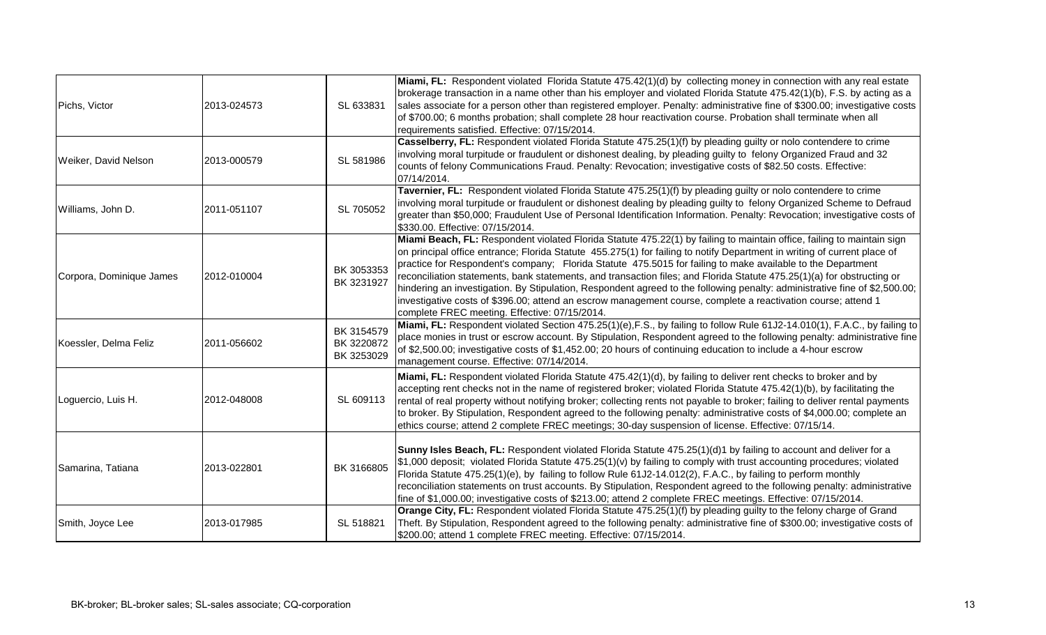| Pichs, Victor            | 2013-024573 | SL 633831                              | Miami, FL: Respondent violated Florida Statute 475.42(1)(d) by collecting money in connection with any real estate<br>brokerage transaction in a name other than his employer and violated Florida Statute 475.42(1)(b), F.S. by acting as a<br>sales associate for a person other than registered employer. Penalty: administrative fine of \$300.00; investigative costs<br>of \$700.00; 6 months probation; shall complete 28 hour reactivation course. Probation shall terminate when all<br>requirements satisfied. Effective: 07/15/2014.                                                                                                                                                                                                                                             |
|--------------------------|-------------|----------------------------------------|---------------------------------------------------------------------------------------------------------------------------------------------------------------------------------------------------------------------------------------------------------------------------------------------------------------------------------------------------------------------------------------------------------------------------------------------------------------------------------------------------------------------------------------------------------------------------------------------------------------------------------------------------------------------------------------------------------------------------------------------------------------------------------------------|
| Weiker, David Nelson     | 2013-000579 | SL 581986                              | Casselberry, FL: Respondent violated Florida Statute 475.25(1)(f) by pleading guilty or nolo contendere to crime<br>involving moral turpitude or fraudulent or dishonest dealing, by pleading guilty to felony Organized Fraud and 32<br>counts of felony Communications Fraud. Penalty: Revocation; investigative costs of \$82.50 costs. Effective:<br>07/14/2014.                                                                                                                                                                                                                                                                                                                                                                                                                        |
| Williams, John D.        | 2011-051107 | SL 705052                              | Tavernier, FL: Respondent violated Florida Statute 475.25(1)(f) by pleading guilty or nolo contendere to crime<br>involving moral turpitude or fraudulent or dishonest dealing by pleading guilty to felony Organized Scheme to Defraud<br>greater than \$50,000; Fraudulent Use of Personal Identification Information. Penalty: Revocation; investigative costs of<br>\$330.00. Effective: 07/15/2014.                                                                                                                                                                                                                                                                                                                                                                                    |
| Corpora, Dominique James | 2012-010004 | BK 3053353<br>BK 3231927               | Miami Beach, FL: Respondent violated Florida Statute 475.22(1) by failing to maintain office, failing to maintain sign<br>on principal office entrance; Florida Statute 455.275(1) for failing to notify Department in writing of current place of<br>practice for Respondent's company; Florida Statute 475.5015 for failing to make available to the Department<br>reconciliation statements, bank statements, and transaction files; and Florida Statute 475.25(1)(a) for obstructing or<br>hindering an investigation. By Stipulation, Respondent agreed to the following penalty: administrative fine of \$2,500.00;<br>investigative costs of \$396.00; attend an escrow management course, complete a reactivation course; attend 1<br>complete FREC meeting. Effective: 07/15/2014. |
| Koessler, Delma Feliz    | 2011-056602 | BK 3154579<br>BK 3220872<br>BK 3253029 | Miami, FL: Respondent violated Section 475.25(1)(e), F.S., by failing to follow Rule 61J2-14.010(1), F.A.C., by failing to<br>place monies in trust or escrow account. By Stipulation, Respondent agreed to the following penalty: administrative fine<br>of \$2,500.00; investigative costs of \$1,452.00; 20 hours of continuing education to include a 4-hour escrow<br>management course. Effective: 07/14/2014.                                                                                                                                                                                                                                                                                                                                                                        |
| Loguercio, Luis H.       | 2012-048008 | SL 609113                              | Miami, FL: Respondent violated Florida Statute 475.42(1)(d), by failing to deliver rent checks to broker and by<br>accepting rent checks not in the name of registered broker; violated Florida Statute 475.42(1)(b), by facilitating the<br>rental of real property without notifying broker; collecting rents not payable to broker; failing to deliver rental payments<br>to broker. By Stipulation, Respondent agreed to the following penalty: administrative costs of \$4,000.00; complete an<br>ethics course; attend 2 complete FREC meetings; 30-day suspension of license. Effective: 07/15/14.                                                                                                                                                                                   |
| Samarina, Tatiana        | 2013-022801 | BK 3166805                             | Sunny Isles Beach, FL: Respondent violated Florida Statute 475.25(1)(d)1 by failing to account and deliver for a<br>\$1,000 deposit; violated Florida Statute 475.25(1)(v) by failing to comply with trust accounting procedures; violated<br>Florida Statute 475.25(1)(e), by failing to follow Rule 61J2-14.012(2), F.A.C., by failing to perform monthly<br>reconciliation statements on trust accounts. By Stipulation, Respondent agreed to the following penalty: administrative<br>fine of \$1,000.00; investigative costs of \$213.00; attend 2 complete FREC meetings. Effective: 07/15/2014.                                                                                                                                                                                      |
| Smith, Joyce Lee         | 2013-017985 | SL 518821                              | Orange City, FL: Respondent violated Florida Statute 475.25(1)(f) by pleading guilty to the felony charge of Grand<br>Theft. By Stipulation, Respondent agreed to the following penalty: administrative fine of \$300.00; investigative costs of<br>\$200.00; attend 1 complete FREC meeting. Effective: 07/15/2014.                                                                                                                                                                                                                                                                                                                                                                                                                                                                        |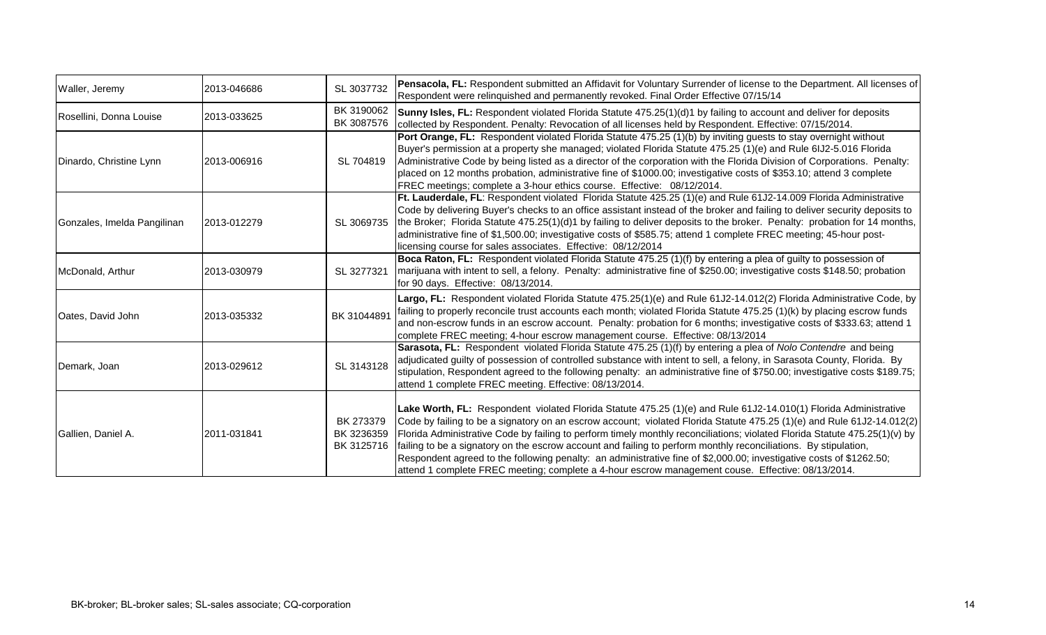| Waller, Jeremy              | 2013-046686 | SL 3037732                            | Pensacola, FL: Respondent submitted an Affidavit for Voluntary Surrender of license to the Department. All licenses of<br>Respondent were relinguished and permanently revoked. Final Order Effective 07/15/14                                                                                                                                                                                                                                                                                                                                                                                                                                                                                                          |
|-----------------------------|-------------|---------------------------------------|-------------------------------------------------------------------------------------------------------------------------------------------------------------------------------------------------------------------------------------------------------------------------------------------------------------------------------------------------------------------------------------------------------------------------------------------------------------------------------------------------------------------------------------------------------------------------------------------------------------------------------------------------------------------------------------------------------------------------|
| Rosellini, Donna Louise     | 2013-033625 | BK 3190062<br>BK 3087576              | Sunny Isles, FL: Respondent violated Florida Statute 475.25(1)(d)1 by failing to account and deliver for deposits<br>collected by Respondent. Penalty: Revocation of all licenses held by Respondent. Effective: 07/15/2014.                                                                                                                                                                                                                                                                                                                                                                                                                                                                                            |
| Dinardo, Christine Lynn     | 2013-006916 | SL 704819                             | Port Orange, FL: Respondent violated Florida Statute 475.25 (1)(b) by inviting guests to stay overnight without<br>Buyer's permission at a property she managed; violated Florida Statute 475.25 (1)(e) and Rule 6IJ2-5.016 Florida<br>Administrative Code by being listed as a director of the corporation with the Florida Division of Corporations. Penalty:<br>placed on 12 months probation, administrative fine of \$1000.00; investigative costs of \$353.10; attend 3 complete<br>FREC meetings; complete a 3-hour ethics course. Effective: 08/12/2014.                                                                                                                                                        |
| Gonzales, Imelda Pangilinan | 2013-012279 | SL 3069735                            | Ft. Lauderdale, FL: Respondent violated Florida Statute 425.25 (1)(e) and Rule 61J2-14.009 Florida Administrative<br>Code by delivering Buyer's checks to an office assistant instead of the broker and failing to deliver security deposits to<br>the Broker; Florida Statute 475.25(1)(d)1 by failing to deliver deposits to the broker. Penalty: probation for 14 months,<br>administrative fine of \$1,500.00; investigative costs of \$585.75; attend 1 complete FREC meeting; 45-hour post-<br>licensing course for sales associates. Effective: 08/12/2014                                                                                                                                                       |
| McDonald, Arthur            | 2013-030979 | SL 3277321                            | Boca Raton, FL: Respondent violated Florida Statute 475.25 (1)(f) by entering a plea of guilty to possession of<br>marijuana with intent to sell, a felony. Penalty: administrative fine of \$250.00; investigative costs \$148.50; probation<br>for 90 days. Effective: 08/13/2014.                                                                                                                                                                                                                                                                                                                                                                                                                                    |
| Oates, David John           | 2013-035332 | BK 31044891                           | Largo, FL: Respondent violated Florida Statute 475.25(1)(e) and Rule 61J2-14.012(2) Florida Administrative Code, by<br>failing to properly reconcile trust accounts each month; violated Florida Statute 475.25 (1)(k) by placing escrow funds<br>and non-escrow funds in an escrow account. Penalty: probation for 6 months; investigative costs of \$333.63; attend 1<br>complete FREC meeting; 4-hour escrow management course. Effective: 08/13/2014                                                                                                                                                                                                                                                                |
| Demark, Joan                | 2013-029612 | SL 3143128                            | Sarasota, FL: Respondent violated Florida Statute 475.25 (1)(f) by entering a plea of Nolo Contendre and being<br>adjudicated guilty of possession of controlled substance with intent to sell, a felony, in Sarasota County, Florida. By<br>stipulation, Respondent agreed to the following penalty: an administrative fine of \$750.00; investigative costs \$189.75;<br>attend 1 complete FREC meeting. Effective: 08/13/2014.                                                                                                                                                                                                                                                                                       |
| Gallien, Daniel A.          | 2011-031841 | BK 273379<br>BK 3236359<br>BK 3125716 | Lake Worth, FL: Respondent violated Florida Statute 475.25 (1)(e) and Rule 61J2-14.010(1) Florida Administrative<br>Code by failing to be a signatory on an escrow account; violated Florida Statute 475.25 (1)(e) and Rule 61J2-14.012(2)<br>Florida Administrative Code by failing to perform timely monthly reconciliations; violated Florida Statute 475.25(1)(v) by<br>failing to be a signatory on the escrow account and failing to perform monthly reconciliations. By stipulation,<br>Respondent agreed to the following penalty: an administrative fine of \$2,000.00; investigative costs of \$1262.50;<br>attend 1 complete FREC meeting; complete a 4-hour escrow management couse. Effective: 08/13/2014. |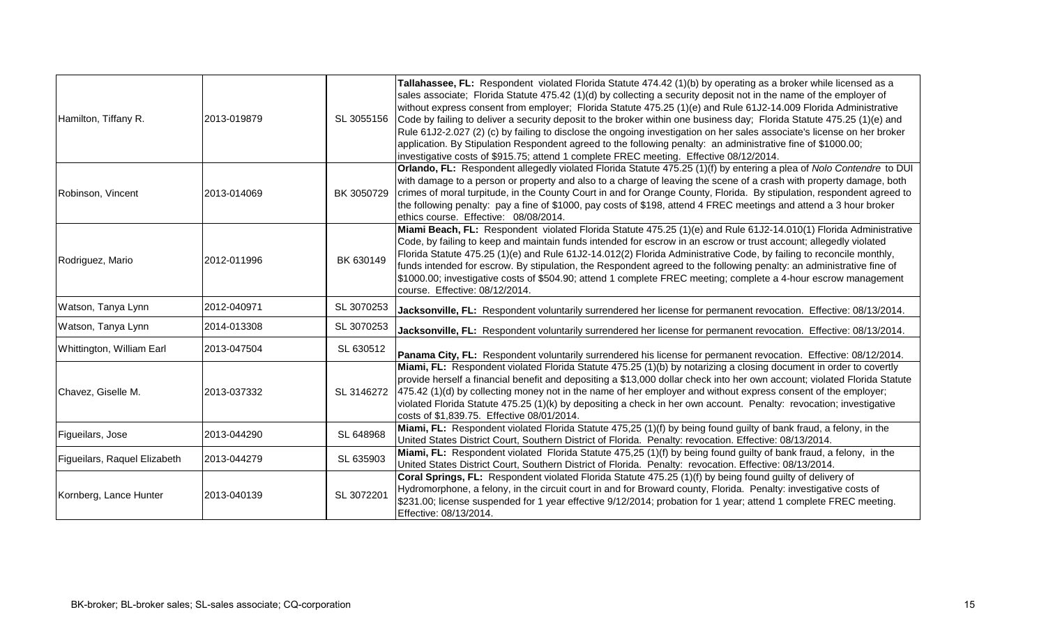| Hamilton, Tiffany R.         | 2013-019879 | SL 3055156 | Tallahassee, FL: Respondent violated Florida Statute 474.42 (1)(b) by operating as a broker while licensed as a<br>sales associate; Florida Statute 475.42 (1)(d) by collecting a security deposit not in the name of the employer of<br>without express consent from employer; Florida Statute 475.25 (1)(e) and Rule 61J2-14.009 Florida Administrative<br>Code by failing to deliver a security deposit to the broker within one business day; Florida Statute 475.25 (1)(e) and<br>Rule 61J2-2.027 (2) (c) by failing to disclose the ongoing investigation on her sales associate's license on her broker<br>application. By Stipulation Respondent agreed to the following penalty: an administrative fine of \$1000.00;<br>investigative costs of \$915.75; attend 1 complete FREC meeting. Effective 08/12/2014. |
|------------------------------|-------------|------------|--------------------------------------------------------------------------------------------------------------------------------------------------------------------------------------------------------------------------------------------------------------------------------------------------------------------------------------------------------------------------------------------------------------------------------------------------------------------------------------------------------------------------------------------------------------------------------------------------------------------------------------------------------------------------------------------------------------------------------------------------------------------------------------------------------------------------|
| Robinson, Vincent            | 2013-014069 | BK 3050729 | Orlando, FL: Respondent allegedly violated Florida Statute 475.25 (1)(f) by entering a plea of Nolo Contendre to DUI<br>with damage to a person or property and also to a charge of leaving the scene of a crash with property damage, both<br>crimes of moral turpitude, in the County Court in and for Orange County, Florida. By stipulation, respondent agreed to<br>the following penalty: pay a fine of \$1000, pay costs of \$198, attend 4 FREC meetings and attend a 3 hour broker<br>ethics course. Effective: 08/08/2014.                                                                                                                                                                                                                                                                                     |
| Rodriguez, Mario             | 2012-011996 | BK 630149  | Miami Beach, FL: Respondent violated Florida Statute 475.25 (1)(e) and Rule 61J2-14.010(1) Florida Administrative<br>Code, by failing to keep and maintain funds intended for escrow in an escrow or trust account; allegedly violated<br>Florida Statute 475.25 (1)(e) and Rule 61J2-14.012(2) Florida Administrative Code, by failing to reconcile monthly,<br>funds intended for escrow. By stipulation, the Respondent agreed to the following penalty: an administrative fine of<br>\$1000.00; investigative costs of \$504.90; attend 1 complete FREC meeting; complete a 4-hour escrow management<br>course. Effective: 08/12/2014.                                                                                                                                                                               |
| Watson, Tanya Lynn           | 2012-040971 | SL 3070253 | Jacksonville, FL: Respondent voluntarily surrendered her license for permanent revocation. Effective: 08/13/2014.                                                                                                                                                                                                                                                                                                                                                                                                                                                                                                                                                                                                                                                                                                        |
| Watson, Tanya Lynn           | 2014-013308 | SL 3070253 | Jacksonville, FL: Respondent voluntarily surrendered her license for permanent revocation. Effective: 08/13/2014.                                                                                                                                                                                                                                                                                                                                                                                                                                                                                                                                                                                                                                                                                                        |
| Whittington, William Earl    | 2013-047504 | SL 630512  | Panama City, FL: Respondent voluntarily surrendered his license for permanent revocation. Effective: 08/12/2014.                                                                                                                                                                                                                                                                                                                                                                                                                                                                                                                                                                                                                                                                                                         |
| Chavez, Giselle M.           | 2013-037332 | SL 3146272 | Miami, FL: Respondent violated Florida Statute 475.25 (1)(b) by notarizing a closing document in order to covertly<br>provide herself a financial benefit and depositing a \$13,000 dollar check into her own account; violated Florida Statute<br>475.42 (1)(d) by collecting money not in the name of her employer and without express consent of the employer;<br>violated Florida Statute 475.25 (1)(k) by depositing a check in her own account. Penalty: revocation; investigative<br>costs of \$1,839.75. Effective 08/01/2014.                                                                                                                                                                                                                                                                                   |
| Figueilars, Jose             | 2013-044290 | SL 648968  | Miami, FL: Respondent violated Florida Statute 475,25 (1)(f) by being found guilty of bank fraud, a felony, in the<br>United States District Court, Southern District of Florida. Penalty: revocation. Effective: 08/13/2014.                                                                                                                                                                                                                                                                                                                                                                                                                                                                                                                                                                                            |
| Figueilars, Raquel Elizabeth | 2013-044279 | SL 635903  | Miami, FL: Respondent violated Florida Statute 475,25 (1)(f) by being found guilty of bank fraud, a felony, in the<br>United States District Court, Southern District of Florida. Penalty: revocation. Effective: 08/13/2014.                                                                                                                                                                                                                                                                                                                                                                                                                                                                                                                                                                                            |
| Kornberg, Lance Hunter       | 2013-040139 | SL 3072201 | Coral Springs, FL: Respondent violated Florida Statute 475.25 (1)(f) by being found guilty of delivery of<br>Hydromorphone, a felony, in the circuit court in and for Broward county, Florida. Penalty: investigative costs of<br>\$231.00; license suspended for 1 year effective 9/12/2014; probation for 1 year; attend 1 complete FREC meeting.<br>Effective: 08/13/2014.                                                                                                                                                                                                                                                                                                                                                                                                                                            |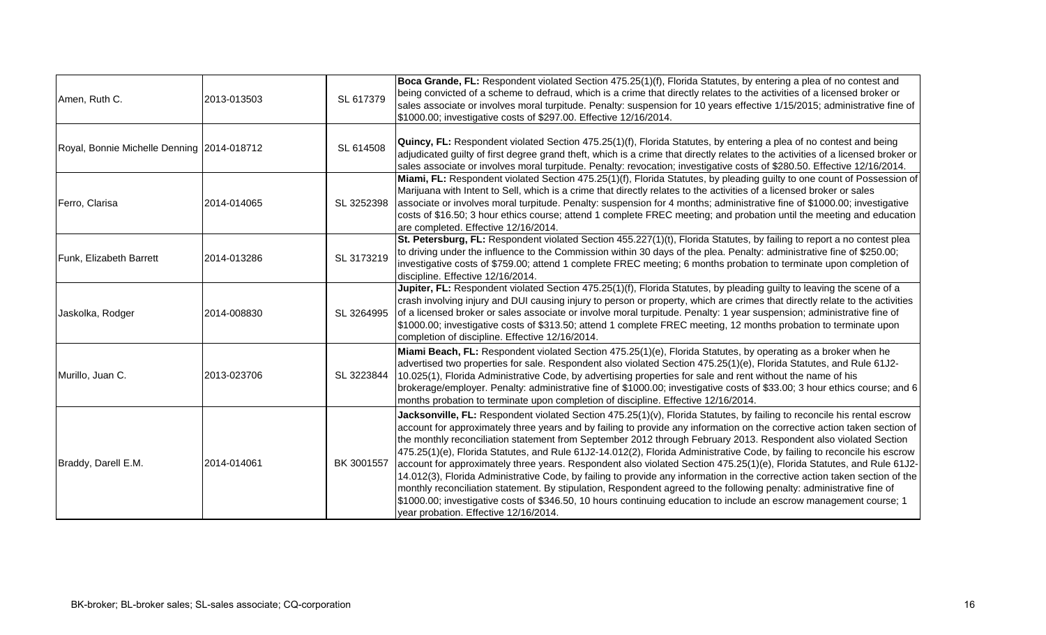|                                            |             |            | Boca Grande, FL: Respondent violated Section 475.25(1)(f), Florida Statutes, by entering a plea of no contest and                                                                                                                                                                                                                                                                                                                                                                                                                                                                                                                                                                                                                                                                                                                                                                                                                                                                                                                                     |
|--------------------------------------------|-------------|------------|-------------------------------------------------------------------------------------------------------------------------------------------------------------------------------------------------------------------------------------------------------------------------------------------------------------------------------------------------------------------------------------------------------------------------------------------------------------------------------------------------------------------------------------------------------------------------------------------------------------------------------------------------------------------------------------------------------------------------------------------------------------------------------------------------------------------------------------------------------------------------------------------------------------------------------------------------------------------------------------------------------------------------------------------------------|
| Amen, Ruth C.                              | 2013-013503 | SL 617379  | being convicted of a scheme to defraud, which is a crime that directly relates to the activities of a licensed broker or<br>sales associate or involves moral turpitude. Penalty: suspension for 10 years effective 1/15/2015; administrative fine of<br>\$1000.00; investigative costs of \$297.00. Effective 12/16/2014.                                                                                                                                                                                                                                                                                                                                                                                                                                                                                                                                                                                                                                                                                                                            |
| Royal, Bonnie Michelle Denning 2014-018712 |             | SL 614508  | Quincy, FL: Respondent violated Section 475.25(1)(f), Florida Statutes, by entering a plea of no contest and being<br>adjudicated guilty of first degree grand theft, which is a crime that directly relates to the activities of a licensed broker or<br>sales associate or involves moral turpitude. Penalty: revocation; investigative costs of \$280.50. Effective 12/16/2014.                                                                                                                                                                                                                                                                                                                                                                                                                                                                                                                                                                                                                                                                    |
| Ferro, Clarisa                             | 2014-014065 | SL 3252398 | Miami, FL: Respondent violated Section 475.25(1)(f), Florida Statutes, by pleading guilty to one count of Possession of<br>Marijuana with Intent to Sell, which is a crime that directly relates to the activities of a licensed broker or sales<br>associate or involves moral turpitude. Penalty: suspension for 4 months; administrative fine of \$1000.00; investigative<br>costs of \$16.50; 3 hour ethics course; attend 1 complete FREC meeting; and probation until the meeting and education<br>are completed. Effective 12/16/2014.                                                                                                                                                                                                                                                                                                                                                                                                                                                                                                         |
| Funk, Elizabeth Barrett                    | 2014-013286 | SL 3173219 | St. Petersburg, FL: Respondent violated Section 455.227(1)(t), Florida Statutes, by failing to report a no contest plea<br>to driving under the influence to the Commission within 30 days of the plea. Penalty: administrative fine of \$250.00;<br>investigative costs of \$759.00; attend 1 complete FREC meeting; 6 months probation to terminate upon completion of<br>discipline. Effective 12/16/2014.                                                                                                                                                                                                                                                                                                                                                                                                                                                                                                                                                                                                                                         |
| Jaskolka, Rodger                           | 2014-008830 | SL 3264995 | Jupiter, FL: Respondent violated Section 475.25(1)(f), Florida Statutes, by pleading guilty to leaving the scene of a<br>crash involving injury and DUI causing injury to person or property, which are crimes that directly relate to the activities<br>of a licensed broker or sales associate or involve moral turpitude. Penalty: 1 year suspension; administrative fine of<br>\$1000.00; investigative costs of \$313.50; attend 1 complete FREC meeting, 12 months probation to terminate upon<br>completion of discipline. Effective 12/16/2014.                                                                                                                                                                                                                                                                                                                                                                                                                                                                                               |
| Murillo, Juan C.                           | 2013-023706 | SL 3223844 | Miami Beach, FL: Respondent violated Section 475.25(1)(e), Florida Statutes, by operating as a broker when he<br>advertised two properties for sale. Respondent also violated Section 475.25(1)(e), Florida Statutes, and Rule 61J2-<br>10.025(1), Florida Administrative Code, by advertising properties for sale and rent without the name of his<br>brokerage/employer. Penalty: administrative fine of \$1000.00; investigative costs of \$33.00; 3 hour ethics course; and 6<br>months probation to terminate upon completion of discipline. Effective 12/16/2014.                                                                                                                                                                                                                                                                                                                                                                                                                                                                               |
| Braddy, Darell E.M.                        | 2014-014061 | BK 3001557 | Jacksonville, FL: Respondent violated Section 475.25(1)(v), Florida Statutes, by failing to reconcile his rental escrow<br>account for approximately three years and by failing to provide any information on the corrective action taken section of<br>the monthly reconciliation statement from September 2012 through February 2013. Respondent also violated Section<br>475.25(1)(e), Florida Statutes, and Rule 61J2-14.012(2), Florida Administrative Code, by failing to reconcile his escrow<br>account for approximately three years. Respondent also violated Section 475.25(1)(e), Florida Statutes, and Rule 61J2-<br>14.012(3), Florida Administrative Code, by failing to provide any information in the corrective action taken section of the<br>monthly reconciliation statement. By stipulation, Respondent agreed to the following penalty: administrative fine of<br>\$1000.00; investigative costs of \$346.50, 10 hours continuing education to include an escrow management course; 1<br>year probation. Effective 12/16/2014. |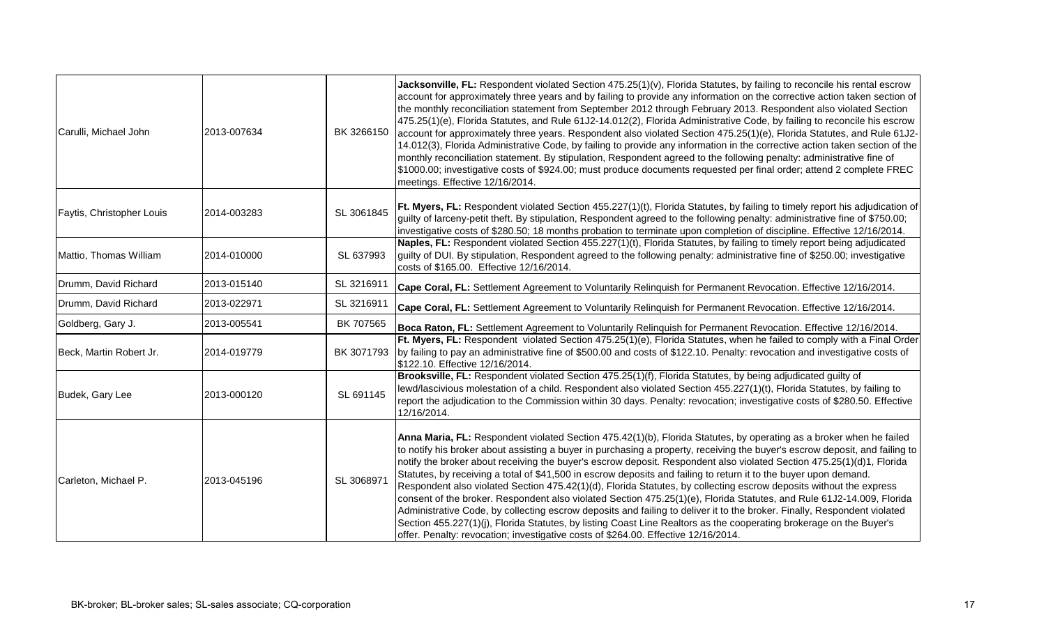| Carulli, Michael John     | 2013-007634 | BK 3266150 | Jacksonville, FL: Respondent violated Section 475.25(1)(v), Florida Statutes, by failing to reconcile his rental escrow<br>account for approximately three years and by failing to provide any information on the corrective action taken section of<br>the monthly reconciliation statement from September 2012 through February 2013. Respondent also violated Section<br>475.25(1)(e), Florida Statutes, and Rule 61J2-14.012(2), Florida Administrative Code, by failing to reconcile his escrow<br>account for approximately three years. Respondent also violated Section 475.25(1)(e), Florida Statutes, and Rule 61J2-<br>14.012(3), Florida Administrative Code, by failing to provide any information in the corrective action taken section of the<br>monthly reconciliation statement. By stipulation, Respondent agreed to the following penalty: administrative fine of<br>\$1000.00; investigative costs of \$924.00; must produce documents requested per final order; attend 2 complete FREC<br>meetings. Effective 12/16/2014.                                        |
|---------------------------|-------------|------------|-----------------------------------------------------------------------------------------------------------------------------------------------------------------------------------------------------------------------------------------------------------------------------------------------------------------------------------------------------------------------------------------------------------------------------------------------------------------------------------------------------------------------------------------------------------------------------------------------------------------------------------------------------------------------------------------------------------------------------------------------------------------------------------------------------------------------------------------------------------------------------------------------------------------------------------------------------------------------------------------------------------------------------------------------------------------------------------------|
| Faytis, Christopher Louis | 2014-003283 | SL 3061845 | Ft. Myers, FL: Respondent violated Section 455.227(1)(t), Florida Statutes, by failing to timely report his adjudication of<br>guilty of larceny-petit theft. By stipulation, Respondent agreed to the following penalty: administrative fine of \$750.00;<br>investigative costs of \$280.50; 18 months probation to terminate upon completion of discipline. Effective 12/16/2014.                                                                                                                                                                                                                                                                                                                                                                                                                                                                                                                                                                                                                                                                                                    |
| Mattio, Thomas William    | 2014-010000 | SL 637993  | Naples, FL: Respondent violated Section 455.227(1)(t), Florida Statutes, by failing to timely report being adjudicated<br>guilty of DUI. By stipulation, Respondent agreed to the following penalty: administrative fine of \$250.00; investigative<br>costs of \$165.00. Effective 12/16/2014.                                                                                                                                                                                                                                                                                                                                                                                                                                                                                                                                                                                                                                                                                                                                                                                         |
| Drumm, David Richard      | 2013-015140 | SL 3216911 | Cape Coral, FL: Settlement Agreement to Voluntarily Relinquish for Permanent Revocation. Effective 12/16/2014.                                                                                                                                                                                                                                                                                                                                                                                                                                                                                                                                                                                                                                                                                                                                                                                                                                                                                                                                                                          |
| Drumm, David Richard      | 2013-022971 | SL 3216911 | Cape Coral, FL: Settlement Agreement to Voluntarily Relinquish for Permanent Revocation. Effective 12/16/2014.                                                                                                                                                                                                                                                                                                                                                                                                                                                                                                                                                                                                                                                                                                                                                                                                                                                                                                                                                                          |
| Goldberg, Gary J.         | 2013-005541 | BK 707565  | Boca Raton, FL: Settlement Agreement to Voluntarily Relinquish for Permanent Revocation. Effective 12/16/2014.                                                                                                                                                                                                                                                                                                                                                                                                                                                                                                                                                                                                                                                                                                                                                                                                                                                                                                                                                                          |
| Beck, Martin Robert Jr.   | 2014-019779 | BK 3071793 | Ft. Myers, FL: Respondent violated Section 475.25(1)(e), Florida Statutes, when he failed to comply with a Final Order<br>by failing to pay an administrative fine of \$500.00 and costs of \$122.10. Penalty: revocation and investigative costs of<br>\$122.10. Effective 12/16/2014.                                                                                                                                                                                                                                                                                                                                                                                                                                                                                                                                                                                                                                                                                                                                                                                                 |
| Budek, Gary Lee           | 2013-000120 | SL 691145  | Brooksville, FL: Respondent violated Section 475.25(1)(f), Florida Statutes, by being adjudicated guilty of<br>lewd/lascivious molestation of a child. Respondent also violated Section 455.227(1)(t), Florida Statutes, by failing to<br>report the adjudication to the Commission within 30 days. Penalty: revocation; investigative costs of \$280.50. Effective<br>12/16/2014.                                                                                                                                                                                                                                                                                                                                                                                                                                                                                                                                                                                                                                                                                                      |
| Carleton, Michael P.      | 2013-045196 | SL 3068971 | Anna Maria, FL: Respondent violated Section 475.42(1)(b), Florida Statutes, by operating as a broker when he failed<br>to notify his broker about assisting a buyer in purchasing a property, receiving the buyer's escrow deposit, and failing to<br>notify the broker about receiving the buyer's escrow deposit. Respondent also violated Section 475.25(1)(d)1, Florida<br>Statutes, by receiving a total of \$41,500 in escrow deposits and failing to return it to the buyer upon demand.<br>Respondent also violated Section 475.42(1)(d), Florida Statutes, by collecting escrow deposits without the express<br>consent of the broker. Respondent also violated Section 475.25(1)(e), Florida Statutes, and Rule 61J2-14.009, Florida<br>Administrative Code, by collecting escrow deposits and failing to deliver it to the broker. Finally, Respondent violated<br>Section 455.227(1)(j), Florida Statutes, by listing Coast Line Realtors as the cooperating brokerage on the Buyer's<br>offer. Penalty: revocation; investigative costs of \$264.00. Effective 12/16/2014. |